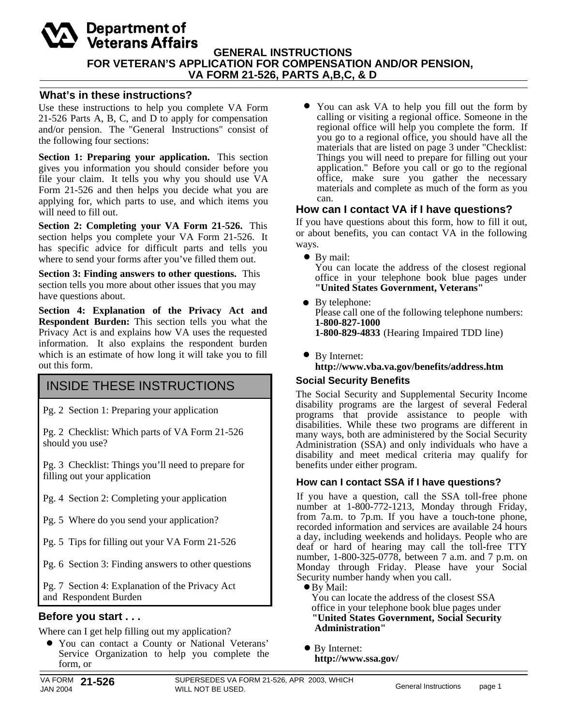#### Department of **Veterans Affairs GENERAL INSTRUCTIONS FOR VETERAN'S APPLICATION FOR COMPENSATION AND/OR PENSION, VA FORM 21-526, PARTS A,B,C, & D**

#### **What's in these instructions?**

Use these instructions to help you complete VA Form 21-526 Parts A, B, C, and D to apply for compensation and/or pension. The "General Instructions" consist of the following four sections:

**Section 1: Preparing your application.** This section gives you information you should consider before you file your claim. It tells you why you should use VA Form 21-526 and then helps you decide what you are applying for, which parts to use, and which items you will need to fill out.

**Section 2: Completing your VA Form 21-526.** This section helps you complete your VA Form 21-526. It has specific advice for difficult parts and tells you where to send your forms after you've filled them out.

**Section 3: Finding answers to other questions.** This section tells you more about other issues that you may<br>have questions about.<br>**Section 4: Explanation of the Privacy Act and** Places cell and Section 1:

**Section 4: Explanation of the Privacy Act and Respondent Burden:** This section tells you what the Privacy Act is and explains how VA uses the requested information. It also explains the respondent burden which is an estimate of how long it will take you to fill out this form.

# INSIDE THESE INSTRUCTIONS

Pg. 2 Section 1: Preparing your application

 Pg. 2 Checklist: Which parts of VA Form 21-526 should you use?

 Pg. 3 Checklist: Things you'll need to prepare for filling out your application

- Pg. 4 Section 2: Completing your application
- Pg. 5 Where do you send your application?
- Pg. 5 Tips for filling out your VA Form 21-526

Pg. 6 Section 3: Finding answers to other questions

 Pg. 7 Section 4: Explanation of the Privacy Act and Respondent Burden

#### **Before you start . . .**

Where can I get help filling out my application?

You can contact a County or National Veterans' Service Organization to help you complete the form, or There can I get help filling ou<br>
• You can contact a Cour

SUPERSEDES VA FORM 21-526, APR 2003, WHICH WILL NOT BE USED.

**.** You can ask VA to help you fill out the form by calling or visiting aregional office. Someone in the regional office will help you complete the form. If you go to a regional office, you should have all the materials that are listed on page 3 under "Checklist: Things you will need to prepare for filling out your application." Before you call or go to the regional office, make sure you gather the necessary materials and complete as much of the form as you can.

#### **How can I contact VA if I have questions?**

If you have questions about this form, how to fill it out, or about benefits, you can contact VA in the following ways. about behems, you can ed<br>ays. ● By mail:

You can locate the address of the closest regional office in your telephone book blue pages under **"United States Government, Veterans"**

- By telephone: Please call one of the following telephone numbers: **1-800-827-1000**
- **1-800-829-4833** (Hearing Impaired TDD line)<br>● By Internet: • By Internet: **http://www.vba.va.gov/benefits/address.htm**

#### **Social Security Benefits**

The Social Security and Supplemental Security Income disability programs are the largest of several Federal programs that provide assistance to people with disabilities. While these two programs are different in many ways, both are administered by the Social Security Administration (SSA) and only individuals who have a disability and meet medical criteria may qualify for benefits under either program.

#### **How can I contact SSA if I have questions?**

If you have a question, call the SSA toll-free phone number at 1-800-772-1213, Monday through Friday, from 7a.m. to 7p.m. If you have a touch-tone phone, recorded information and services are available 24 hours a day, including weekends and holidays. People who are deaf or hard of hearing may call the toll-free TTY number, 1-800-325-0778, between 7 a.m. and 7 p.m. on Monday through Friday. Please have your Social<br>Security number handy when you call.<br>
• By Mail:<br>
• Y Security number handy when you call.

By Mail:

 You can locate the address of the closest SSA office in your telephone book blue pages under **"United States Government, Social Security Administration''**<br>● By Internet:

● By Internet: **http://www.ssa.gov/**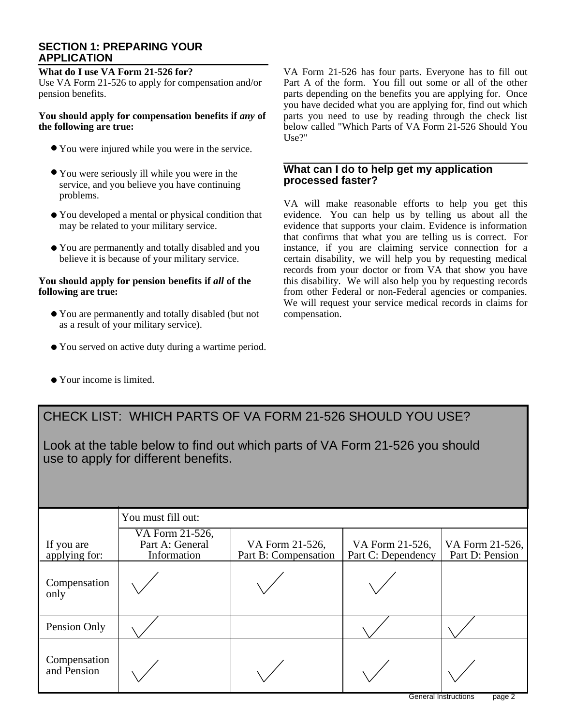#### **SECTION 1: PREPARING YOUR APPLICATION**

#### **What do I use VA Form 21-526 for?**

Use VA Form 21-526 to apply for compensation and/or pension benefits.

#### **You should apply for compensation benefits if** *any* **of the following are true:**

- **The set of the set of the service.**<br>
 You were injured while you were in the service.
- You were injured while you were in the service.<br>• You were seriously ill while you were in the service, and you believe you have continuing problems.
- problems.<br>
 You developed a mental or physical condition that evidence with the condition of the condition of the condition of the condition of the condition of the condition of the condition of the condition of the condi may be related to your military service.
- may be related to your military service.<br>
that confi<br>
 You are permanently and totally disabled and you instance,<br> **.** believe it is because of your military service.

#### **You should apply for pension benefits if** *all* **of the following are true:**

- **THE SUBARE SET ASSEMBLY AND THE SUBARE SET ASSEMBLY**<br>■ You are permanently and totally disabled (but not contract on as a result of your military service).
- as a result or your military service).<br>● You served on active duty during a wartime period.

VA Form 21-526 has four parts. Everyone has to fill out Part A of the form. You fill out some or all of the other parts depending on the benefits you are applying for. Once you have decided what you are applying for, find out which parts you need to use by reading through the check list below called "Which Parts of VA Form 21-526 Should You Use?"

#### **What can I do to help get my application processed faster?**

VA will make reasonable efforts to help you get this evidence. You can help us by telling us about all the evidence that supports your claim. Evidence is information that confirms that what you are telling us is correct. For instance, if you are claiming service connection for a certain disability, we will help you by requesting medical records from your doctor or from VA that show you have this disability. We will also help you by requesting records from other Federal or non-Federal agencies or companies. We will request your service medical records in claims for compensation.

Your income is limited. **.**

# CHECK LIST: WHICH PARTS OF VA FORM 21-526 SHOULD YOU USE?

 Look at the table below to find out which parts of VA Form 21-526 you should use to apply for different benefits.

|                             | You must fill out:                                |                                         |                                       |                                    |
|-----------------------------|---------------------------------------------------|-----------------------------------------|---------------------------------------|------------------------------------|
| If you are<br>applying for: | VA Form 21-526,<br>Part A: General<br>Information | VA Form 21-526,<br>Part B: Compensation | VA Form 21-526,<br>Part C: Dependency | VA Form 21-526,<br>Part D: Pension |
| Compensation<br>only        |                                                   |                                         |                                       |                                    |
| Pension Only                |                                                   |                                         |                                       |                                    |
| Compensation<br>and Pension |                                                   |                                         |                                       |                                    |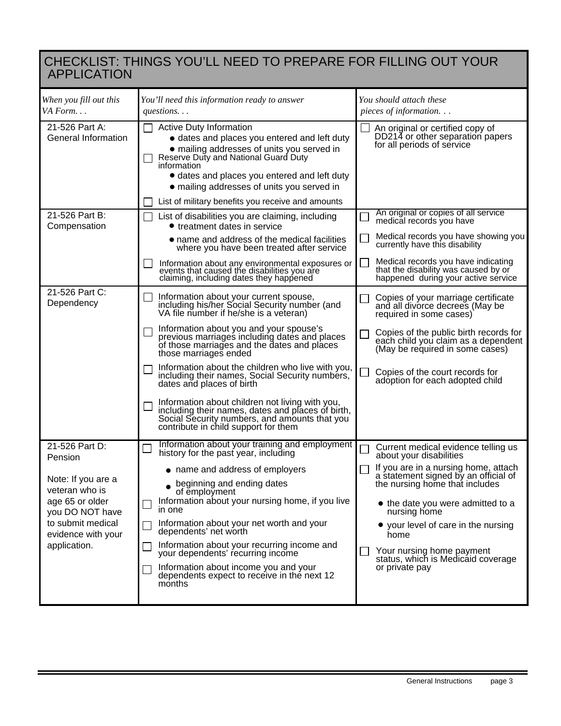# CHECKLIST: THINGS YOU'LL NEED TO PREPARE FOR FILLING OUT YOUR **APPLICATION APPLICATION**

| When you fill out this<br>VA Form                                                                                                                                  | You'll need this information ready to answer<br>$questions.$                                                                                                                                                                                                                                                                                                                                                                                                                                                                                                                                                                                | You should attach these<br>pieces of information                                                                                                                                                                                                                                                                                                                          |
|--------------------------------------------------------------------------------------------------------------------------------------------------------------------|---------------------------------------------------------------------------------------------------------------------------------------------------------------------------------------------------------------------------------------------------------------------------------------------------------------------------------------------------------------------------------------------------------------------------------------------------------------------------------------------------------------------------------------------------------------------------------------------------------------------------------------------|---------------------------------------------------------------------------------------------------------------------------------------------------------------------------------------------------------------------------------------------------------------------------------------------------------------------------------------------------------------------------|
| 21-526 Part A:<br>General Information                                                                                                                              | <b>Active Duty Information</b><br>• dates and places you entered and left duty<br>• mailing addresses of units you served in<br>Reserve Duty and National Guard Duty<br>information<br>• dates and places you entered and left duty<br>• mailing addresses of units you served in<br>List of military benefits you receive and amounts                                                                                                                                                                                                                                                                                                      | An original or certified copy of<br>DD214 or other separation papers<br>for all periods of service                                                                                                                                                                                                                                                                        |
| 21-526 Part B:<br>Compensation                                                                                                                                     | List of disabilities you are claiming, including<br><b>•</b> treatment dates in service<br>• name and address of the medical facilities<br>where you have been treated after service                                                                                                                                                                                                                                                                                                                                                                                                                                                        | An original or copies of all service<br>medical records you have<br>Medical records you have showing you<br>$\sim$<br>currently have this disability                                                                                                                                                                                                                      |
|                                                                                                                                                                    | Information about any environmental exposures or<br>events that caused the disabilities you are<br>claiming, including dates they happened                                                                                                                                                                                                                                                                                                                                                                                                                                                                                                  | Medical records you have indicating<br>L.<br>that the disability was caused by or<br>happened during your active service                                                                                                                                                                                                                                                  |
| 21-526 Part C:<br>Dependency                                                                                                                                       | Information about your current spouse,<br>including his/her Social Security number (and<br>VA file number if he/she is a veteran)<br>Information about you and your spouse's<br>previous marriages including dates and places<br>of those marriages and the dates and places<br>those marriages ended<br>Information about the children who live with you,<br>including their names, Social Security numbers,<br>dates and places of birth<br>Information about children not living with you,<br>including their names, dates and places of birth,<br>Social Security numbers, and amounts that you<br>contribute in child support for them | Copies of your marriage certificate<br>and all divorce decrees (May be<br>required in some cases)<br>Copies of the public birth records for<br>each child you claim as a dependent<br>(May be required in some cases)<br>Copies of the court records for<br>adoption for each adopted child                                                                               |
| 21-526 Part D:<br>Pension<br>Note: If you are a<br>veteran who is<br>age 65 or older<br>you DO NOT have<br>to submit medical<br>evidence with your<br>application. | Information about your training and employment<br>history for the past year, including<br>• name and address of employers<br>beginning and ending dates<br>of employment<br>Information about your nursing home, if you live<br>in one<br>Information about your net worth and your<br>dependents' net worth<br>Information about your recurring income and<br>your dependents' recurring income<br>Information about income you and your<br>dependents expect to receive in the next 12<br>months                                                                                                                                          | Current medical evidence telling us<br>about your disabilities<br>If you are in a nursing home, attach<br>a statement signed by an official of<br>the nursing home that includes<br>• the date you were admitted to a<br>nursing home<br>• your level of care in the nursing<br>home<br>Your nursing home payment<br>status, which is Medicaid coverage<br>or private pay |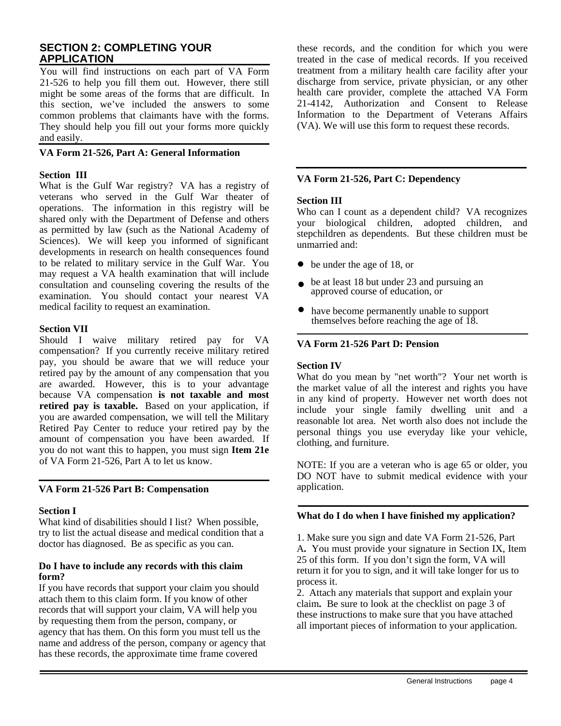#### **SECTION 2: COMPLETING YOUR APPLICATION**

You will find instructions on each part of VA Form 21-526 to help you fill them out. However, there still might be some areas of the forms that are difficult. In this section, we've included the answers to some common problems that claimants have with the forms. They should help you fill out your forms more quickly and easily.

#### **VA Form 21-526, Part A: General Information**

#### **Section III**

What is the Gulf War registry? VA has a registry of veterans who served in the Gulf War theater of operations. The information in this registry will be shared only with the Department of Defense and others as permitted by law (such as the National Academy of Sciences). We will keep you informed of significant developments in research on health consequences found to be related to military service in the Gulf War. You may request a VA health examination that will include consultation and counseling covering the results of the examination. You should contact your nearest VA medical facility to request an examination.

#### **Section VII**

Should I waive military retired pay for VA compensation? If you currently receive military retired pay, you should be aware that we will reduce your retired pay by the amount of any compensation that you are awarded. However, this is to your advantage because VA compensation **is not taxable and most retired pay is taxable.** Based on your application, if you are awarded compensation, we will tell the Military Retired Pay Center to reduce your retired pay by the amount of compensation you have been awarded. If you do notwant this to happen, you must sign **Item 21e** of VA Form 21-526, Part A to let us know.

#### **VA Form 21-526 Part B: Compensation**

#### **Section I**

What kind of disabilities should I list? When possible, try to list the actual disease and medical condition that a doctor has diagnosed. Be as specific as you can.

#### **Do I have to include any records with this claim form?**

If you have records that support your claim you should attach them to this claim form. If you know of other records that will support your claim, VA will help you by requesting them from the person, company, or agency that has them. On this form you must tell us the name and address of the person, company or agency that has these records, the approximate time frame covered

these records, and the condition for which you were treated in the case of medical records. If you received treatment from a military health care facility after your discharge from service, private physician, or any other health care provider, complete the attached VA Form 21-4142, Authorization and Consent to Release Information to the Department of Veterans Affairs (VA). We will use this form to request these records.

#### **VA Form 21-526, Part C: Dependency**

#### **Section III**

Who can I count as a dependent child? VA recognizes your biological children, adopted children, and stepchildren as dependents. But these children must be unmarried and:

- 
- be at least 18 but under 23 and pursuing an approved course of education, or **■**<br> **■** be under the age of 18, or<br> **■** be at least 18 but under 23 and pursuan<br>
pursuance of education. or
- approved course of education, or have become permanently unable to support themselves before reaching the age of 18.

#### **VA Form 21-526 Part D: Pension**

#### **Section IV**

What do you mean by "net worth"? Your net worth is the market value of all the interest and rights you have in any kind of property. However net worth does not include your single family dwelling unit and a reasonable lot area. Net worth also does not include the personal things you use everyday like your vehicle, clothing, and furniture.

NOTE: If you are a veteran who is age 65 or older, you DO NOT have to submit medical evidence with your application.

#### **What do I do when I have finished my application?**

1. Make sure you sign and date VA Form 21-526, Part A*.* You must provide your signature in Section IX, Item 25 of this form. If you don't sign the form, VA will return it for you to sign, and it will take longer for us to process it.

2. Attach any materials that support and explain your claim*.* Be sure to look at the checklist on page 3 of these instructions to make sure that you have attached all important pieces of information to your application.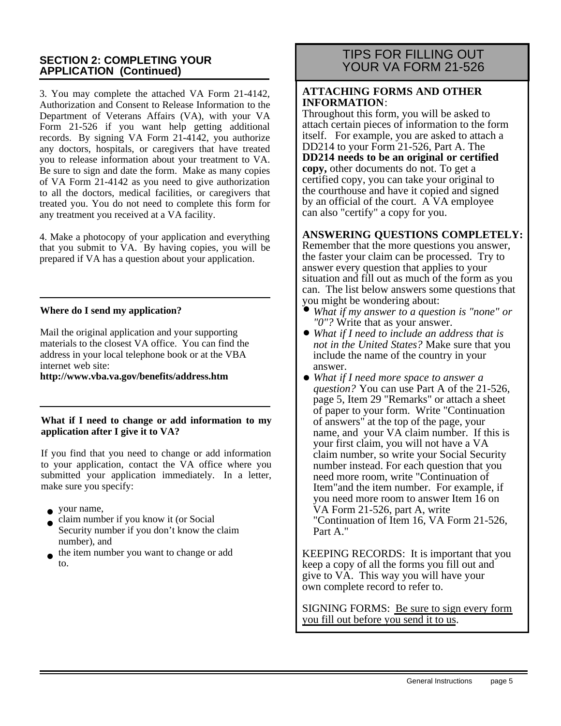#### **SECTION 2: COMPLETING YOUR APPLICATION (Continued)**

3. You may complete the attached VA Form 21-4142, Authorization and Consent to Release Information to the Department of Veterans Affairs (VA), with your VA Form 21-526 if you want help getting additional records. By signing VA Form 21-4142, you authorize any doctors, hospitals, or caregivers that have treated you to release information about your treatment to VA. Be sure to sign and date the form. Make as many copies of VA Form 21-4142 as you need to give authorization to all the doctors, medical facilities, or caregivers that treated you. You do not need to complete this form for any treatment you received at a VA facility.

4. Make a photocopy of your application and everything that you submit to VA. By having copies, you will be prepared if VA has a question about your application.

#### **Where do I send my application?**

Mail the original application and your supporting materials to the closest VA office. You can find the address in your local telephone book or at the VBA internet web site:

**http://www.vba.va.gov/benefits/address.htm**

#### **What if I need to change or add information to my application after I give it to VA?**

If you find that you need to change or add information to your application, contact the VA office where you submitted your application immediately. In a letter, make sure you specify:

- your name, **.**
- claim number if you know it (or Social • your name,<br>
• claim number if you know<br> **Security number if you do** 
	- Security number if you don't know the claim number), and
- **the item number you want to change or add**  to. **.** number), and<br> **.** the item number you wan

# TIPS FOR FILLING OUT YOUR VA FORM 21-526

#### **ATTACHING FORMS AND OTHER INFORMATION**:

 Throughout this form, you will be asked to attach certain pieces of information to the form itself. For example, you are asked to attach a DD214 to your Form 21-526, Part A. The **DD214 needs to be an originalor certified copy,** other documents do not. To get a certified copy, you can take your original to the courthouse and have it copied and signed by an official of the court. A VA employee can also "certify" a copy for you.

### **ANSWERING QUESTIONS COMPLETELY:**

 Remember that the more questions you answer, the faster your claim can be processed. Try to answer every question that applies to your situation and fill out as much of the form as you can. The list below answers some questions that you might be wondering about: can. The list below answe<br>you might be wondering a<br>• What if my answer to a

- *What if my answer to a question is "none" or*  $"0"$ ? Write that as your answer.<br>■ *What if I need to include an address that is What if my answer to a question is "none" or "0"?* Write that as your answer.
- *not in the United States?* Make sure that you include the name of the country in your answer.  $\bullet$  *What if I need more space to answer a* **.** ∂ *What if I need more space to answer a*
- *question?* You can use Part A of the 21-526, page 5, Item 29 "Remarks" or attach a sheet of paper to your form. Write "Continuation of answers" at the top of the page, your name, and your VA claim number. If this is your first claim, you will not have a VA claim number, so write your Social Security number instead. For each question that you need more room, write "Continuation of Item"and the item number. For example, if you need more room to answer Item 16 on VA Form 21-526, part A, write "Continuation of Item 16, VA Form 21-526, Part A."

 KEEPING RECORDS: It is important that you keep a copy of all the forms you fill out and give to VA. This way you will have your own complete record to refer to.

 SIGNING FORMS: Be sure to sign every form you fill out before you send it to us.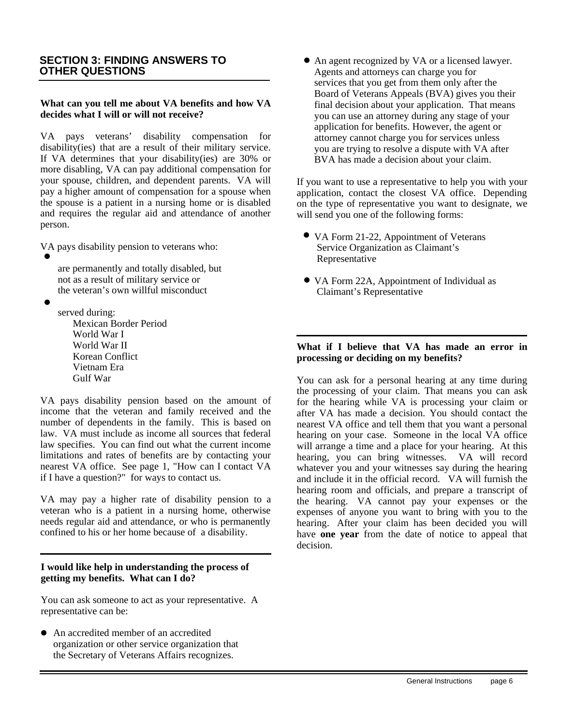#### **SECTION 3: FINDING ANSWERS TO OTHER QUESTIONS**

#### **What can you tell me about VA benefits and how VA decides what I will or will not receive?**

VA pays veterans' disability compensation for disability(ies) that are a result of their military service. If VA determines that your disability(ies) are 30% or more disabling, VA can pay additional compensation for your spouse, children, and dependent parents. VA will pay ahigher amount of compensation for a spouse when the spouse is a patient in a nursing home or is disabled and requires the regular aid and attendance of another person.

VA pays disability pension to veterans who: A pays disability pension to

 are permanently and totally disabled, but not as a result of military service or the veteran's own willful misconduct

**.**

 served during: Mexican Border Period World War I World War II Korean Conflict Vietnam Era Gulf War

VA pays disability pension based on the amount of income that the veteran and family received and the number of dependents in the family. This is based on law. VA must include as income all sources that federal law specifies. You can find out what the current income limitations and rates of benefits are by contacting your nearest VA office. See page 1, "How can I contact VA if I have a question?" for ways to contact us.

VA may pay a higher rate of disability pension to a veteran who is a patient in a nursing home, otherwise needs regular aid and attendance, or who is permanently confined to his or her home because of a disability.

#### **I would like help in understanding the process of getting my benefits. What can I do?**

You can ask someone to act as your representative. A representative can be:

**■** An accredited member of an accredited organization or other service organization that the Secretary of Veterans Affairs recognizes.

● An agent recognized by VA or a licensed lawyer. Agents and attorneys can charge you for services that you get from them only after the Board of Veterans Appeals (BVA) gives you their final decision about your application. That means you can use an attorney during any stage of your application for benefits. However, the agent or attorney cannot charge you for services unless you are trying to resolve a dispute with VA after BVA has made a decision about your claim.

 If you want to use <sup>a</sup> representative to help you with your application, contact the closest VA office. Depending on the type of representative you want to designate, we will send you one of the following forms:

- will send you one of the following forms:<br>● VA Form 21-22, Appointment of Veterans Service Organization as Claimant's Representative
- **VA Form 22A, Appointment of Individual as VA Form 22A, Appointment of Individual as** Claimant's Representative

#### **What if I believe that VA has made an error in processing or deciding on my benefits?**

You can ask for a personal hearing at any time during the processing of your claim. That means you can ask for the hearing while VA is processing your claim or after VA has made a decision. You should contact the nearest VA office and tell them that youwant a personal hearing on your case. Someone in the local VA office will arrange a time and a place for your hearing. At this hearing, you can bring witnesses. VA will record whatever you and your witnesses say during the hearing and include it in the official record. VA will furnish the hearing room and officials, and prepare a transcript of the hearing. VA cannot pay your expenses or the expenses of anyone you want to bring with you to the hearing. After your claim has been decided you will have **one year** from the date of notice to appeal that decision.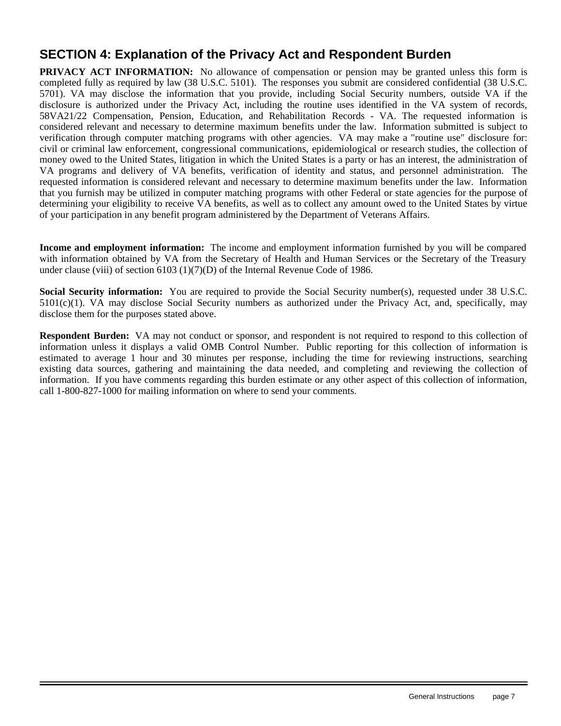# **SECTION 4: Explanation of the Privacy Act and Respondent Burden**

**PRIVACY ACT INFORMATION:** No allowance of compensation or pension may be granted unless this form is completed fully as required by law (38 U.S.C. 5101). The responses you submit are considered confidential (38 U.S.C. 5701). VA may disclose the information that you provide, including Social Security numbers, outside VA if the disclosure is authorized under the Privacy Act, including the routine uses identified in the VA system of records, 58VA21/22 Compensation, Pension, Education, and Rehabilitation Records - VA. The requested information is considered relevant and necessary to determine maximum benefits under the law. Information submitted is subject to verification through computer matching programs with other agencies. VA may make a "routine use" disclosure for: civil or criminal law enforcement, congressional communications, epidemiological or research studies, the collection of money owed to the United States, litigation in which the United States is a party or has an interest, the administration of VA programs and delivery of VA benefits, verification of identity and status, and personnel administration. The requested information is considered relevant and necessary to determine maximum benefits under the law. Information that you furnish may be utilized in computer matching programs with other Federal or state agencies for the purpose of determining your eligibility to receive VA benefits, as well as to collect any amount owed to the United States by virtue of your participation in any benefit program administered by the Department of Veterans Affairs.

**Income and employment information:** The income and employment information furnished by you will be compared with information obtained by VA from the Secretary of Health and Human Services or the Secretary of the Treasury under clause (viii) of section 6103 (1)(7)(D) of the Internal Revenue Code of 1986.

**Social Security information:** You are required to provide the Social Security number(s), requested under 38 U.S.C. 5101(c)(1). VA may disclose Social Security numbers as authorized under the Privacy Act, and, specifically, may disclose them for the purposes stated above.

**Respondent Burden:** VA may not conduct or sponsor, and respondent is not required to respond to this collection of information unless it displays a valid OMB Control Number. Public reporting for this collection of information is estimated to average 1 hour and 30 minutes per response, including the time for reviewing instructions, searching existing data sources, gathering and maintaining the data needed, and completing and reviewing the collection of information. If you have comments regarding this burden estimate or any other aspect of this collection of information, call 1-800-827-1000 for mailing information on where to send your comments.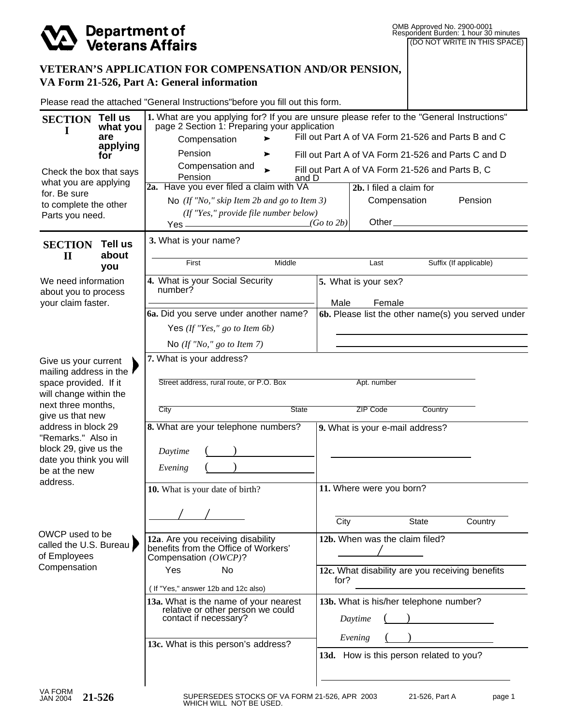| <b>Department of</b><br><b>Veterans Affairs</b>                                                                          |                                                                                                                                                                                                                                                                                                                                                                                                          | OMB Approved No. 2900-0001<br>Respondent Burden: 1 hour 30 minutes<br>(DO NOT WRITE IN THIS SPACE) |  |  |  |  |
|--------------------------------------------------------------------------------------------------------------------------|----------------------------------------------------------------------------------------------------------------------------------------------------------------------------------------------------------------------------------------------------------------------------------------------------------------------------------------------------------------------------------------------------------|----------------------------------------------------------------------------------------------------|--|--|--|--|
|                                                                                                                          | <b>VETERAN'S APPLICATION FOR COMPENSATION AND/OR PENSION,</b><br>VA Form 21-526, Part A: General information                                                                                                                                                                                                                                                                                             |                                                                                                    |  |  |  |  |
|                                                                                                                          | Please read the attached "General Instructions" before you fill out this form.                                                                                                                                                                                                                                                                                                                           |                                                                                                    |  |  |  |  |
| Tell us<br><b>SECTION</b><br>what you<br>I<br>are<br>applying<br>for<br>Check the box that says<br>what you are applying | 1. What are you applying for? If you are unsure please refer to the "General Instructions"<br>page 2 Section 1: Preparing your application<br>Fill out Part A of VA Form 21-526 and Parts B and C<br>Compensation<br>$\blacktriangleright$<br>Pension<br>Fill out Part A of VA Form 21-526 and Parts C and D<br>Compensation and<br>Fill out Part A of VA Form 21-526 and Parts B, C<br>Pension<br>and D |                                                                                                    |  |  |  |  |
| for. Be sure<br>to complete the other<br>Parts you need.                                                                 | 2a. Have you ever filed a claim with VA<br>No $(If "No," skip Item 2b and go to Item 3)$<br>(If "Yes," provide file number below)<br>Yes -                                                                                                                                                                                                                                                               | 2b. I filed a claim for<br>Compensation<br>Pension<br>Other_<br>$(Got \ to 2b)$                    |  |  |  |  |
| Tell us<br><b>SECTION</b><br>about<br>$\mathbf{I}$<br>you                                                                | 3. What is your name?<br>First<br>Middle                                                                                                                                                                                                                                                                                                                                                                 | Suffix (If applicable)<br>Last                                                                     |  |  |  |  |
| We need information<br>about you to process<br>your claim faster.                                                        | 4. What is your Social Security<br>number?                                                                                                                                                                                                                                                                                                                                                               | 5. What is your sex?<br>Female<br>Male                                                             |  |  |  |  |
|                                                                                                                          | 6a. Did you serve under another name?<br>Yes $(If "Yes," go to Item 6b)$<br>No $(If "No," go to Item 7)$                                                                                                                                                                                                                                                                                                 | 6b. Please list the other name(s) you served under                                                 |  |  |  |  |
| Give us your current<br>mailing address in the<br>space provided. If it<br>will change within the                        | 7. What is your address?<br>Street address, rural route, or P.O. Box<br>Apt. number                                                                                                                                                                                                                                                                                                                      |                                                                                                    |  |  |  |  |
| next three months,<br>give us that new                                                                                   | City<br><b>State</b>                                                                                                                                                                                                                                                                                                                                                                                     | <b>ZIP Code</b><br>Country                                                                         |  |  |  |  |
| address in block 29<br>"Remarks." Also in<br>block 29, give us the<br>date you think you will<br>be at the new           | 8. What are your telephone numbers?<br>Daytime<br>Evening                                                                                                                                                                                                                                                                                                                                                | 9. What is your e-mail address?                                                                    |  |  |  |  |
| address.                                                                                                                 | 10. What is your date of birth?                                                                                                                                                                                                                                                                                                                                                                          | 11. Where were you born?                                                                           |  |  |  |  |
|                                                                                                                          |                                                                                                                                                                                                                                                                                                                                                                                                          | City<br><b>State</b><br>Country                                                                    |  |  |  |  |
| OWCP used to be<br>called the U.S. Bureau<br>of Employees<br>Compensation                                                | 12a. Are you receiving disability<br>benefits from the Office of Workers'<br>Compensation (OWCP)?<br>No<br>Yes                                                                                                                                                                                                                                                                                           | 12b. When was the claim filed?                                                                     |  |  |  |  |
|                                                                                                                          | (If "Yes," answer 12b and 12c also)                                                                                                                                                                                                                                                                                                                                                                      | 12c. What disability are you receiving benefits<br>for?                                            |  |  |  |  |
|                                                                                                                          | 13a. What is the name of your nearest<br>relative or other person we could<br>contact if necessary?                                                                                                                                                                                                                                                                                                      | 13b. What is his/her telephone number?<br>Daytime                                                  |  |  |  |  |
|                                                                                                                          | 13c. What is this person's address?                                                                                                                                                                                                                                                                                                                                                                      | Evening<br>13d. How is this person related to you?                                                 |  |  |  |  |
| <b>VA FORM</b>                                                                                                           |                                                                                                                                                                                                                                                                                                                                                                                                          |                                                                                                    |  |  |  |  |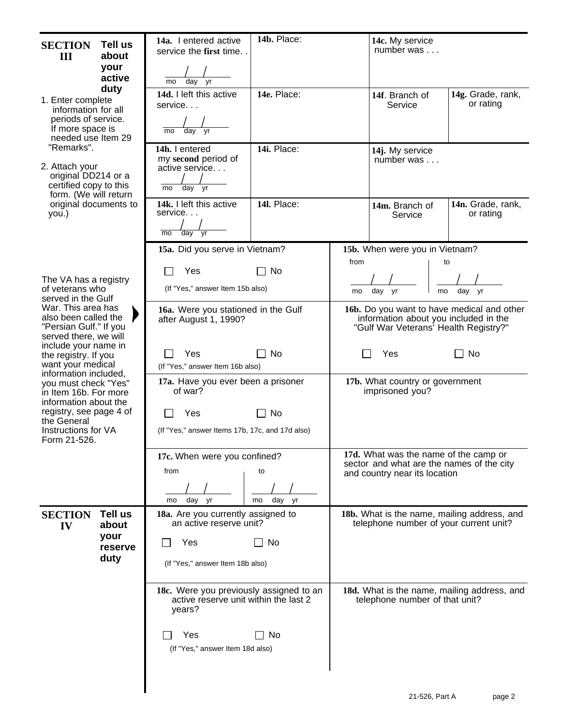| Tell us<br><b>SECTION</b><br>III<br>about                                                                                                                                                                                                                     |                                                              | 14b. Place:<br>14a. I entered active<br>service the first time. .                          |                                                                                                                              |                                                                                       | 14c. My service<br>number was                                                                                       |                                |  |  |
|---------------------------------------------------------------------------------------------------------------------------------------------------------------------------------------------------------------------------------------------------------------|--------------------------------------------------------------|--------------------------------------------------------------------------------------------|------------------------------------------------------------------------------------------------------------------------------|---------------------------------------------------------------------------------------|---------------------------------------------------------------------------------------------------------------------|--------------------------------|--|--|
| your                                                                                                                                                                                                                                                          | active                                                       | day yr<br>mo                                                                               |                                                                                                                              |                                                                                       |                                                                                                                     |                                |  |  |
| duty<br>1. Enter complete<br>information for all<br>periods of service.<br>If more space is                                                                                                                                                                   |                                                              | 14d. I left this active<br>service<br>day yr<br>mo                                         | 14e. Place:                                                                                                                  |                                                                                       | 14f. Branch of<br>Service                                                                                           | 14g. Grade, rank,<br>or rating |  |  |
| needed use Item 29<br>"Remarks".<br>2. Attach your<br>original DD214 or a<br>certified copy to this<br>form. (We will return<br>original documents to<br>you.)                                                                                                |                                                              | 14h. I entered<br>my second period of<br>active service<br>day yr<br>mo                    | 14i. Place:                                                                                                                  |                                                                                       | 14j. My service<br>number was                                                                                       |                                |  |  |
|                                                                                                                                                                                                                                                               |                                                              | 14k. I left this active<br>service<br>$day - yr$<br>mo                                     | 14l. Place:                                                                                                                  |                                                                                       | 14m. Branch of<br>Service                                                                                           | 14n. Grade, rank,<br>or rating |  |  |
|                                                                                                                                                                                                                                                               |                                                              | 15a. Did you serve in Vietnam?<br>Yes                                                      | $\Box$ No                                                                                                                    | from                                                                                  | 15b. When were you in Vietnam?                                                                                      | to                             |  |  |
| The VA has a registry<br>of veterans who<br>served in the Gulf<br>War. This area has<br>also been called the<br>"Persian Gulf." If you<br>served there, we will<br>include your name in<br>the registry. If you<br>want your medical<br>information included, | (If "Yes," answer Item 15b also)                             |                                                                                            | day yr<br>day yr<br>mo<br>mo                                                                                                 |                                                                                       |                                                                                                                     |                                |  |  |
|                                                                                                                                                                                                                                                               | 16a. Were you stationed in the Gulf<br>after August 1, 1990? |                                                                                            | 16b. Do you want to have medical and other<br>information about you included in the<br>"Gulf War Veterans' Health Registry?" |                                                                                       |                                                                                                                     |                                |  |  |
|                                                                                                                                                                                                                                                               | Yes<br>(If "Yes," answer Item 16b also)                      | Yes<br>$\Box$ No                                                                           |                                                                                                                              |                                                                                       |                                                                                                                     |                                |  |  |
| you must check "Yes"<br>in Item 16b. For more<br>information about the                                                                                                                                                                                        |                                                              | 17a. Have you ever been a prisoner<br>of war?                                              | 17b. What country or government<br>imprisoned you?                                                                           |                                                                                       |                                                                                                                     |                                |  |  |
| registry, see page 4 of<br>the General<br>Instructions for VA<br>Form 21-526.                                                                                                                                                                                 |                                                              | Yes<br><b>Tara</b><br>(If "Yes," answer Items 17b, 17c, and 17d also)                      | $\Box$ No                                                                                                                    |                                                                                       |                                                                                                                     |                                |  |  |
|                                                                                                                                                                                                                                                               |                                                              | 17c. When were you confined?<br>from<br>day yr<br>mo                                       | to<br>day yr<br>mo                                                                                                           |                                                                                       | 17d. What was the name of the camp or<br>sector and what are the names of the city<br>and country near its location |                                |  |  |
| <b>SECTION</b><br>IV<br>your                                                                                                                                                                                                                                  | <b>Tell us</b><br>about                                      | 18a. Are you currently assigned to<br>an active reserve unit?                              |                                                                                                                              | 18b. What is the name, mailing address, and<br>telephone number of your current unit? |                                                                                                                     |                                |  |  |
| duty                                                                                                                                                                                                                                                          | reserve                                                      | Yes<br>(If "Yes," answer Item 18b also)                                                    | No                                                                                                                           |                                                                                       |                                                                                                                     |                                |  |  |
|                                                                                                                                                                                                                                                               |                                                              | 18c. Were you previously assigned to an<br>active reserve unit within the last 2<br>years? |                                                                                                                              | 18d. What is the name, mailing address, and<br>telephone number of that unit?         |                                                                                                                     |                                |  |  |
|                                                                                                                                                                                                                                                               |                                                              | Yes<br>(If "Yes," answer Item 18d also)                                                    | No                                                                                                                           |                                                                                       |                                                                                                                     |                                |  |  |
|                                                                                                                                                                                                                                                               |                                                              |                                                                                            |                                                                                                                              |                                                                                       |                                                                                                                     |                                |  |  |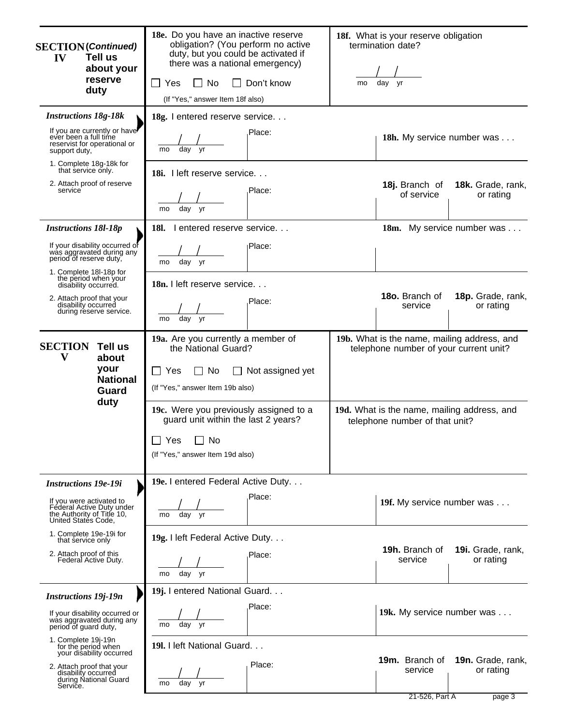| <b>SECTION(Continued)</b><br>Tell us<br>IV<br>about your<br>reserve<br>duty                                       | 18e. Do you have an inactive reserve<br>obligation? (You perform no active<br>duty, but you could be activated if<br>there was a national emergency)<br>$\Box$ Don't know<br>$\Box$ No<br>Yes<br>$\blacksquare$<br>(If "Yes," answer Item 18f also) | 18f. What is your reserve obligation<br>termination date?<br>day yr<br>mo     |                                                                                       |                                |  |
|-------------------------------------------------------------------------------------------------------------------|-----------------------------------------------------------------------------------------------------------------------------------------------------------------------------------------------------------------------------------------------------|-------------------------------------------------------------------------------|---------------------------------------------------------------------------------------|--------------------------------|--|
| <b>Instructions 18g-18k</b>                                                                                       | 18g. I entered reserve service                                                                                                                                                                                                                      |                                                                               |                                                                                       |                                |  |
| If you are currently or have<br>ever been a full time<br>reservist for operational or<br>support duty,            | Place:<br>day yr<br>mo                                                                                                                                                                                                                              |                                                                               | 18h. My service number was                                                            |                                |  |
| 1. Complete 18g-18k for<br>that service only.                                                                     | 18i. I left reserve service                                                                                                                                                                                                                         |                                                                               |                                                                                       |                                |  |
| 2. Attach proof of reserve<br>service                                                                             | Place:<br>day yr<br>mo                                                                                                                                                                                                                              |                                                                               | 18j. Branch of<br>18k. Grade, rank,<br>of service<br>or rating                        |                                |  |
| <b>Instructions 18l-18p</b>                                                                                       | 18I. I entered reserve service                                                                                                                                                                                                                      |                                                                               |                                                                                       | 18m. My service number was     |  |
| If your disability occurred or<br>was aggravated during any<br>period of reserve duty,<br>1. Complete 18I-18p for | ıPlace:<br>day yr<br>mo                                                                                                                                                                                                                             |                                                                               |                                                                                       |                                |  |
| the period when your<br>disability occurred.                                                                      | 18n. I left reserve service                                                                                                                                                                                                                         |                                                                               |                                                                                       |                                |  |
| 2. Attach proof that your<br>disability occurred<br>during reserve service.                                       | Place:<br>day yr<br>mo                                                                                                                                                                                                                              |                                                                               | 18o. Branch of<br>service                                                             | 18p. Grade, rank,<br>or rating |  |
| <b>SECTION</b><br>Tell us<br>V<br>about<br>your<br><b>National</b><br>Guard                                       | 19a. Are you currently a member of<br>the National Guard?                                                                                                                                                                                           |                                                                               | 19b. What is the name, mailing address, and<br>telephone number of your current unit? |                                |  |
|                                                                                                                   | $\Box$ Not assigned yet<br>$\Box$ No<br>$\Box$ Yes<br>(If "Yes," answer Item 19b also)                                                                                                                                                              |                                                                               |                                                                                       |                                |  |
| duty                                                                                                              | 19c. Were you previously assigned to a<br>guard unit within the last 2 years?                                                                                                                                                                       | 19d. What is the name, mailing address, and<br>telephone number of that unit? |                                                                                       |                                |  |
|                                                                                                                   | $\Box$ Yes $\Box$ No<br>(If "Yes," answer Item 19d also)                                                                                                                                                                                            |                                                                               |                                                                                       |                                |  |
| <b>Instructions 19e-19i</b>                                                                                       | 19e. I entered Federal Active Duty.                                                                                                                                                                                                                 |                                                                               |                                                                                       |                                |  |
| If you were activated to<br>Federal Active Duty under<br>the Authority of Title 10,<br>United States Code,        | Place:<br>day yr<br>mo                                                                                                                                                                                                                              |                                                                               | 19f. My service number was                                                            |                                |  |
| 1. Complete 19e-19i for<br>that service only                                                                      | 19g. I left Federal Active Duty.                                                                                                                                                                                                                    |                                                                               |                                                                                       |                                |  |
| 2. Attach proof of this<br>Federal Active Duty.                                                                   | Place:<br>day yr<br>mo                                                                                                                                                                                                                              |                                                                               | 19h. Branch of<br>service                                                             | 19i. Grade, rank,<br>or rating |  |
| <b>Instructions 19j-19n</b>                                                                                       | 19j. I entered National Guard.                                                                                                                                                                                                                      |                                                                               |                                                                                       |                                |  |
| If your disability occurred or<br>was aggravated during any<br>period of guard duty,                              | Place:<br>day yr<br>mo                                                                                                                                                                                                                              |                                                                               | 19k. My service number was                                                            |                                |  |
| 1. Complete 19j-19n<br>for the period when<br>your disability occurred                                            | 19I. I left National Guard.                                                                                                                                                                                                                         |                                                                               |                                                                                       |                                |  |
| 2. Attach proof that your<br>disability occurred<br>during National Guard<br>Service.                             | Place:<br>day yr<br>mo                                                                                                                                                                                                                              |                                                                               | 19m. Branch of<br>service                                                             | 19n. Grade, rank,<br>or rating |  |
|                                                                                                                   |                                                                                                                                                                                                                                                     |                                                                               | 21-526, Part A                                                                        | page 3                         |  |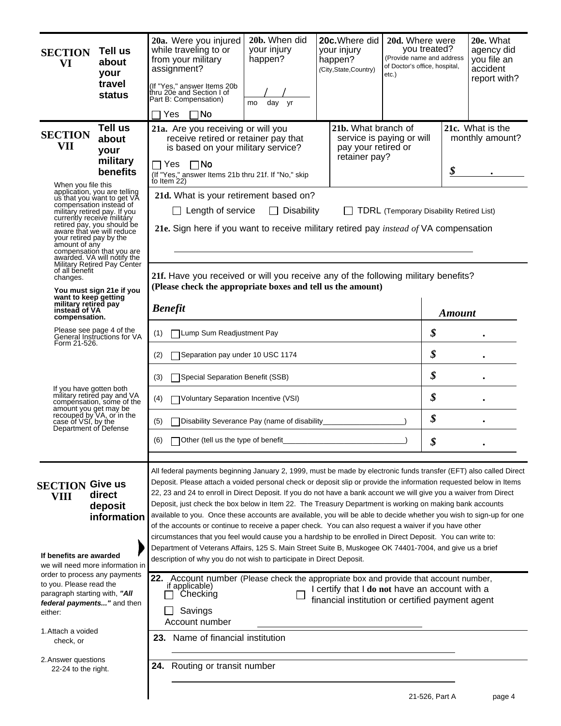| Tell us<br><b>SECTION</b><br>about<br>VI<br>your<br>travel                                                                                                                                                                                                                    |                                                                                                                                                                                                                                                                                                         | 20a. Were you injured<br>while traveling to or<br>from your military<br>assignment?<br>(If "Yes," answer Items 20b<br>thru 20e and Section I of                                                                                                                                                                                                                                                                                                                                                                                                                                                                                                                                                                                                                                                                                                                                                                                                                                                                                                                                                                                                                                                      | 20b. When did<br>your injury<br>happen? | 20c. Where did<br>your injury<br>happen?<br>(City, State, Country)                                 | 20d. Where were<br>you treated?<br>(Provide name and address<br>of Doctor's office, hospital,<br>etc.) |               | 20e. What<br>agency did<br>you file an<br>accident<br>report with? |
|-------------------------------------------------------------------------------------------------------------------------------------------------------------------------------------------------------------------------------------------------------------------------------|---------------------------------------------------------------------------------------------------------------------------------------------------------------------------------------------------------------------------------------------------------------------------------------------------------|------------------------------------------------------------------------------------------------------------------------------------------------------------------------------------------------------------------------------------------------------------------------------------------------------------------------------------------------------------------------------------------------------------------------------------------------------------------------------------------------------------------------------------------------------------------------------------------------------------------------------------------------------------------------------------------------------------------------------------------------------------------------------------------------------------------------------------------------------------------------------------------------------------------------------------------------------------------------------------------------------------------------------------------------------------------------------------------------------------------------------------------------------------------------------------------------------|-----------------------------------------|----------------------------------------------------------------------------------------------------|--------------------------------------------------------------------------------------------------------|---------------|--------------------------------------------------------------------|
|                                                                                                                                                                                                                                                                               | status                                                                                                                                                                                                                                                                                                  | Part B: Compensation)                                                                                                                                                                                                                                                                                                                                                                                                                                                                                                                                                                                                                                                                                                                                                                                                                                                                                                                                                                                                                                                                                                                                                                                | day yr<br>mo                            |                                                                                                    |                                                                                                        |               |                                                                    |
|                                                                                                                                                                                                                                                                               |                                                                                                                                                                                                                                                                                                         | $\Box$ No<br><b>Yes</b>                                                                                                                                                                                                                                                                                                                                                                                                                                                                                                                                                                                                                                                                                                                                                                                                                                                                                                                                                                                                                                                                                                                                                                              |                                         |                                                                                                    |                                                                                                        |               |                                                                    |
| <b>SECTION</b><br>VII                                                                                                                                                                                                                                                         | Tell us<br>about<br>your<br>military<br>benefits                                                                                                                                                                                                                                                        | 21a. Are you receiving or will you<br>receive retired or retainer pay that<br>is based on your military service?<br>$\Box$ No<br>Yes                                                                                                                                                                                                                                                                                                                                                                                                                                                                                                                                                                                                                                                                                                                                                                                                                                                                                                                                                                                                                                                                 |                                         | 21b. What branch of<br>pay your retired or<br>retainer pay?                                        | service is paying or will                                                                              | \$            | 21c. What is the<br>monthly amount?                                |
| When you file this<br>currently receive military<br>your retired pay by the<br>amount of any<br>of all benefit<br>changes.<br>want to keep getting<br>military retired pay<br>instead of VA<br>compensation.                                                                  | application, you are telling<br>us that you want to get VA<br>compensation instead of<br>military retired pay. If you<br>retired pay, you should be<br>aware that we will reduce<br>compensation that you are<br>awarded. VA will notify the<br>Military Retired Pay Center<br>You must sign 21e if you | (If "Yes," answer Items 21b thru 21f. If "No," skip<br>to Item 22)<br>21d. What is your retirement based on?<br>$\Box$ Length of service<br>21e. Sign here if you want to receive military retired pay <i>instead of</i> VA compensation<br>21f. Have you received or will you receive any of the following military benefits?<br>(Please check the appropriate boxes and tell us the amount)<br><b>Benefit</b>                                                                                                                                                                                                                                                                                                                                                                                                                                                                                                                                                                                                                                                                                                                                                                                      | $\Box$ Disability                       |                                                                                                    | <b>TDRL</b> (Temporary Disability Retired List)                                                        | <b>Amount</b> |                                                                    |
| Form 21-526.                                                                                                                                                                                                                                                                  | Please see page 4 of the<br>General Instructions for VA                                                                                                                                                                                                                                                 | □Lump Sum Readjustment Pay<br>(1)<br>Separation pay under 10 USC 1174<br>(2)                                                                                                                                                                                                                                                                                                                                                                                                                                                                                                                                                                                                                                                                                                                                                                                                                                                                                                                                                                                                                                                                                                                         |                                         |                                                                                                    |                                                                                                        |               |                                                                    |
| If you have gotten both                                                                                                                                                                                                                                                       | military retired pay and VA                                                                                                                                                                                                                                                                             | Special Separation Benefit (SSB)<br>(3)                                                                                                                                                                                                                                                                                                                                                                                                                                                                                                                                                                                                                                                                                                                                                                                                                                                                                                                                                                                                                                                                                                                                                              |                                         |                                                                                                    |                                                                                                        |               |                                                                    |
| amount you get may be<br>recouped by VA, or in the<br>case of VSI, by the                                                                                                                                                                                                     | compénsation, some of the                                                                                                                                                                                                                                                                               | Voluntary Separation Incentive (VSI)<br>(4)<br>Disability Severance Pay (name of disability_<br>(5)                                                                                                                                                                                                                                                                                                                                                                                                                                                                                                                                                                                                                                                                                                                                                                                                                                                                                                                                                                                                                                                                                                  |                                         |                                                                                                    |                                                                                                        |               |                                                                    |
| Department of Defense                                                                                                                                                                                                                                                         |                                                                                                                                                                                                                                                                                                         | (6)<br>□ Other (tell us the type of benefit                                                                                                                                                                                                                                                                                                                                                                                                                                                                                                                                                                                                                                                                                                                                                                                                                                                                                                                                                                                                                                                                                                                                                          |                                         |                                                                                                    |                                                                                                        |               |                                                                    |
| <b>SECTION Give us</b><br><b>VIII</b><br>If benefits are awarded<br>we will need more information in<br>order to process any payments<br>to you. Please read the<br>paragraph starting with, "All<br>federal payments" and then<br>either:<br>1. Attach a voided<br>check, or | direct<br>deposit<br>information                                                                                                                                                                                                                                                                        | All federal payments beginning January 2, 1999, must be made by electronic funds transfer (EFT) also called Direct<br>Deposit. Please attach a voided personal check or deposit slip or provide the information requested below in Items<br>22, 23 and 24 to enroll in Direct Deposit. If you do not have a bank account we will give you a waiver from Direct<br>Deposit, just check the box below in Item 22. The Treasury Department is working on making bank accounts<br>available to you. Once these accounts are available, you will be able to decide whether you wish to sign-up for one<br>of the accounts or continue to receive a paper check. You can also request a waiver if you have other<br>circumstances that you feel would cause you a hardship to be enrolled in Direct Deposit. You can write to:<br>Department of Veterans Affairs, 125 S. Main Street Suite B, Muskogee OK 74401-7004, and give us a brief<br>description of why you do not wish to participate in Direct Deposit.<br>22. Account number (Please check the appropriate box and provide that account number,<br>if applicable)<br>Checking<br>Savings<br>Account number<br>23. Name of financial institution |                                         | I certify that I do not have an account with a<br>financial institution or certified payment agent |                                                                                                        |               |                                                                    |
| 2. Answer questions<br>22-24 to the right.                                                                                                                                                                                                                                    |                                                                                                                                                                                                                                                                                                         | 24. Routing or transit number                                                                                                                                                                                                                                                                                                                                                                                                                                                                                                                                                                                                                                                                                                                                                                                                                                                                                                                                                                                                                                                                                                                                                                        |                                         |                                                                                                    |                                                                                                        |               |                                                                    |
|                                                                                                                                                                                                                                                                               |                                                                                                                                                                                                                                                                                                         |                                                                                                                                                                                                                                                                                                                                                                                                                                                                                                                                                                                                                                                                                                                                                                                                                                                                                                                                                                                                                                                                                                                                                                                                      |                                         |                                                                                                    | 21-526 Part A                                                                                          |               | nage 4                                                             |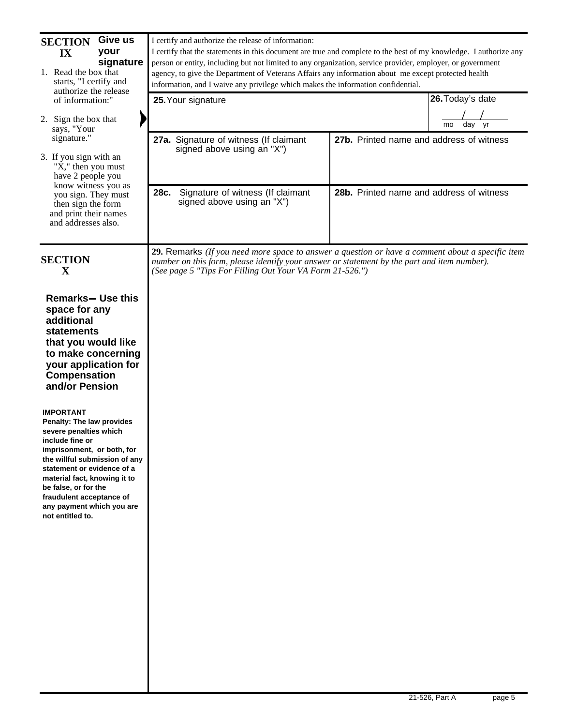| Give us<br><b>SECTION</b><br>your<br>IX<br>signature<br>1. Read the box that<br>starts, "I certify and<br>authorize the release<br>of information:"<br>2. Sign the box that<br>says, "Your<br>signature."<br>3. If you sign with an<br>"X," then you must<br>have 2 people you<br>know witness you as<br>you sign. They must<br>then sign the form<br>and print their names<br>and addresses also.                                                                                                                                            | I certify and authorize the release of information:<br>I certify that the statements in this document are true and complete to the best of my knowledge. I authorize any<br>person or entity, including but not limited to any organization, service provider, employer, or government<br>agency, to give the Department of Veterans Affairs any information about me except protected health<br>information, and I waive any privilege which makes the information confidential.<br>26. Today's date<br>25. Your signature<br>day yr<br>mo<br>27a. Signature of witness (If claimant<br>27b. Printed name and address of witness<br>signed above using an "X")<br>Signature of witness (If claimant<br>28b. Printed name and address of witness<br>28c.<br>signed above using an "X") |  |  |  |  |  |
|-----------------------------------------------------------------------------------------------------------------------------------------------------------------------------------------------------------------------------------------------------------------------------------------------------------------------------------------------------------------------------------------------------------------------------------------------------------------------------------------------------------------------------------------------|----------------------------------------------------------------------------------------------------------------------------------------------------------------------------------------------------------------------------------------------------------------------------------------------------------------------------------------------------------------------------------------------------------------------------------------------------------------------------------------------------------------------------------------------------------------------------------------------------------------------------------------------------------------------------------------------------------------------------------------------------------------------------------------|--|--|--|--|--|
| <b>SECTION</b><br>$\mathbf X$<br><b>Remarks- Use this</b><br>space for any<br>additional<br>statements<br>that you would like<br>to make concerning<br>your application for<br>Compensation<br>and/or Pension<br><b>IMPORTANT</b><br>Penalty: The law provides<br>severe penalties which<br>include fine or<br>imprisonment, or both, for<br>the willful submission of any<br>statement or evidence of a<br>material fact, knowing it to<br>be false, or for the<br>fraudulent acceptance of<br>any payment which you are<br>not entitled to. | <b>29.</b> Remarks (If you need more space to answer a question or have a comment about a specific item<br>number on this form, please identify your answer or statement by the part and item number).<br>(See page 5 "Tips For Filling Out Your VA Form 21-526.")                                                                                                                                                                                                                                                                                                                                                                                                                                                                                                                     |  |  |  |  |  |
|                                                                                                                                                                                                                                                                                                                                                                                                                                                                                                                                               |                                                                                                                                                                                                                                                                                                                                                                                                                                                                                                                                                                                                                                                                                                                                                                                        |  |  |  |  |  |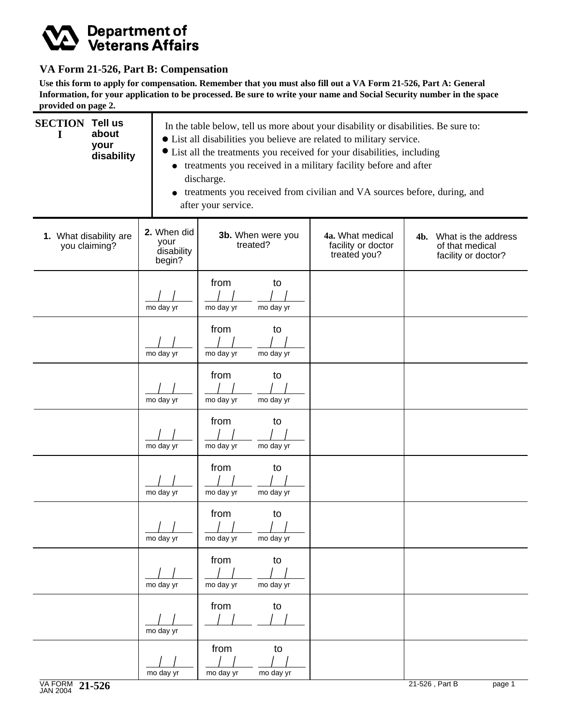# **Department of<br>Veterans Affairs**

### **VA Form 21-526, Part B: Compensation**

**Use this form to apply for compensation. Remember that you must also fill out a VA Form 21-526, Part A: General Information, for your application to be processed. Be sure to write your name and Social Security number in the space provided on page 2.**

| <b>SECTION Tell us</b><br>In the table below, tell us more about your disability or disabilities. Be sure to:<br>about<br>$\bf{I}$<br>• List all disabilities you believe are related to military service.<br>your<br>• List all the treatments you received for your disabilities, including<br>disability<br>treatments you received in a military facility before and after<br>$\bullet$<br>discharge.<br>treatments you received from civilian and VA sources before, during, and<br>after your service. |                                             |                                      |                                                        |                                                                   |  |  |
|--------------------------------------------------------------------------------------------------------------------------------------------------------------------------------------------------------------------------------------------------------------------------------------------------------------------------------------------------------------------------------------------------------------------------------------------------------------------------------------------------------------|---------------------------------------------|--------------------------------------|--------------------------------------------------------|-------------------------------------------------------------------|--|--|
| 1. What disability are<br>you claiming?                                                                                                                                                                                                                                                                                                                                                                                                                                                                      | 2. When did<br>your<br>disability<br>begin? | 3b. When were you<br>treated?        | 4a. What medical<br>facility or doctor<br>treated you? | 4b. What is the address<br>of that medical<br>facility or doctor? |  |  |
|                                                                                                                                                                                                                                                                                                                                                                                                                                                                                                              | mo day yr                                   | from<br>to<br>mo day yr<br>mo day yr |                                                        |                                                                   |  |  |
|                                                                                                                                                                                                                                                                                                                                                                                                                                                                                                              | mo day yr                                   | from<br>to<br>mo day yr<br>mo day yr |                                                        |                                                                   |  |  |
|                                                                                                                                                                                                                                                                                                                                                                                                                                                                                                              | mo day yr                                   | from<br>to<br>mo day yr<br>mo day yr |                                                        |                                                                   |  |  |
|                                                                                                                                                                                                                                                                                                                                                                                                                                                                                                              | mo day yr                                   | from<br>to<br>mo day yr<br>mo day yr |                                                        |                                                                   |  |  |
|                                                                                                                                                                                                                                                                                                                                                                                                                                                                                                              | mo day yr                                   | from<br>to<br>mo day yr<br>mo day yr |                                                        |                                                                   |  |  |
|                                                                                                                                                                                                                                                                                                                                                                                                                                                                                                              | mo day yr                                   | from<br>to<br>mo day yr<br>mo day yr |                                                        |                                                                   |  |  |
|                                                                                                                                                                                                                                                                                                                                                                                                                                                                                                              | mo day yr                                   | from<br>to<br>mo day yr<br>mo day yr |                                                        |                                                                   |  |  |
|                                                                                                                                                                                                                                                                                                                                                                                                                                                                                                              | mo day yr                                   | from<br>to                           |                                                        |                                                                   |  |  |
|                                                                                                                                                                                                                                                                                                                                                                                                                                                                                                              | mo day yr                                   | from<br>to<br>mo day yr<br>mo day yr |                                                        |                                                                   |  |  |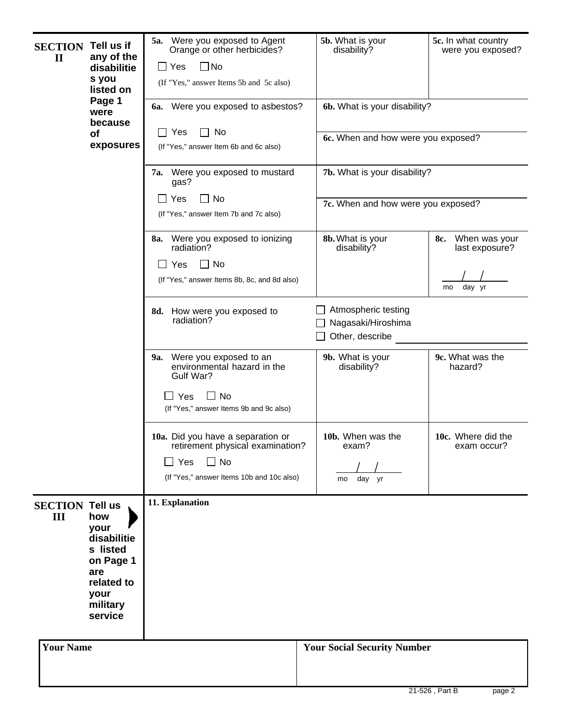| <b>SECTION</b><br>$\mathbf{I}$ | Tell us if<br>any of the<br>disabilitie<br>s you<br>listed on                                           | 5a. Were you exposed to Agent<br>Orange or other herbicides?<br>$\Box$ No<br>$\Box$ Yes<br>(If "Yes," answer Items 5b and 5c also)                | 5b. What is your<br>disability?                              | 5c. In what country<br>were you exposed? |  |  |
|--------------------------------|---------------------------------------------------------------------------------------------------------|---------------------------------------------------------------------------------------------------------------------------------------------------|--------------------------------------------------------------|------------------------------------------|--|--|
|                                | Page 1<br>were<br>because                                                                               | 6a. Were you exposed to asbestos?                                                                                                                 | 6b. What is your disability?                                 |                                          |  |  |
|                                | of<br>exposures                                                                                         | $\Box$ No<br>$\Box$ Yes<br>(If "Yes," answer Item 6b and 6c also)                                                                                 | 6c. When and how were you exposed?                           |                                          |  |  |
|                                |                                                                                                         | 7a. Were you exposed to mustard<br>gas?                                                                                                           | 7b. What is your disability?                                 |                                          |  |  |
|                                |                                                                                                         | $\Box$ No<br>Yes<br>ΙI<br>(If "Yes," answer Item 7b and 7c also)                                                                                  | 7c. When and how were you exposed?                           |                                          |  |  |
|                                |                                                                                                         | 8a. Were you exposed to ionizing<br>radiation?                                                                                                    | 8b. What is your<br>disability?                              | When was your<br>8c.<br>last exposure?   |  |  |
|                                |                                                                                                         | $\Box$ No<br>$\mathsf{L}$<br>Yes<br>(If "Yes," answer Items 8b, 8c, and 8d also)                                                                  |                                                              | day yr<br>mo                             |  |  |
|                                |                                                                                                         | 8d. How were you exposed to<br>radiation?                                                                                                         | Atmospheric testing<br>Nagasaki/Hiroshima<br>Other, describe |                                          |  |  |
|                                |                                                                                                         | Were you exposed to an<br>9a.<br>environmental hazard in the<br>Gulf War?<br>$\Box$ Yes<br>$\sqcup$ No<br>(If "Yes," answer Items 9b and 9c also) | 9b. What is your<br>disability?                              | 9c. What was the<br>hazard?              |  |  |
|                                |                                                                                                         | 10a. Did you have a separation or<br>retirement physical examination?<br>$\Box$ No<br>$\Box$ Yes<br>(If "Yes," answer Items 10b and 10c also)     | 10b. When was the<br>exam?<br>day yr<br>mo                   | 10c. Where did the<br>exam occur?        |  |  |
| <b>SECTION Tell us</b><br>III  | how<br>your<br>disabilitie<br>s listed<br>on Page 1<br>are<br>related to<br>your<br>military<br>service | 11. Explanation                                                                                                                                   |                                                              |                                          |  |  |
| <b>Your Name</b>               |                                                                                                         |                                                                                                                                                   | <b>Your Social Security Number</b>                           |                                          |  |  |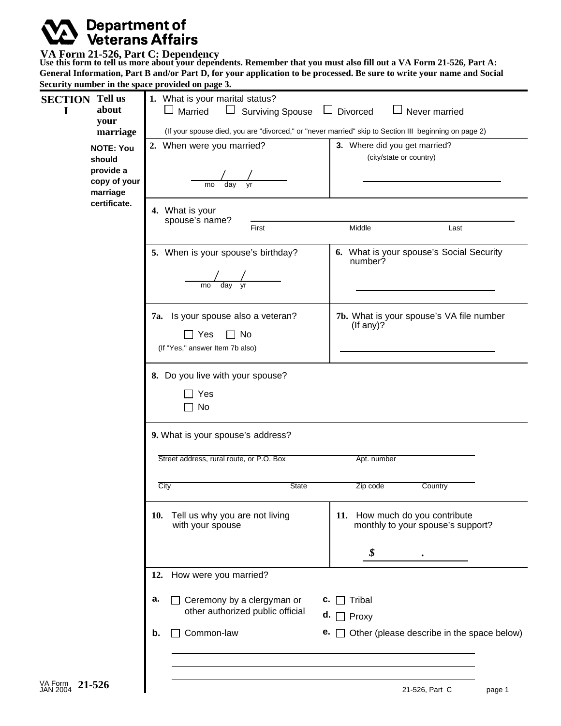# **Department of<br>Veterans Affairs**

**VA Form 21-526, Part C: Dependency Use this form to tell us more about your dependents. Remember that you must also fill out a VA Form 21-526, Part A: General Information, Part B and/or Part D, for your application to be processed. Be sure to write your name and Social Security number in the space provided on page 3.**

| <b>SECTION</b> Tell us | 1. What is your marital status?                                                      |                                                                                                       |  |  |  |  |  |
|------------------------|--------------------------------------------------------------------------------------|-------------------------------------------------------------------------------------------------------|--|--|--|--|--|
| about<br>1             | $\Box$ Surviving Spouse $\Box$ Divorced<br>Married<br>$\Box$ Never married<br>$\Box$ |                                                                                                       |  |  |  |  |  |
| your                   |                                                                                      |                                                                                                       |  |  |  |  |  |
| marriage               |                                                                                      | (If your spouse died, you are "divorced," or "never married" skip to Section III beginning on page 2) |  |  |  |  |  |
| <b>NOTE: You</b>       | 2. When were you married?                                                            | 3. Where did you get married?<br>(city/state or country)                                              |  |  |  |  |  |
| should<br>provide a    |                                                                                      |                                                                                                       |  |  |  |  |  |
| copy of your           | day<br>mo                                                                            |                                                                                                       |  |  |  |  |  |
| marriage               |                                                                                      |                                                                                                       |  |  |  |  |  |
| certificate.           | 4. What is your                                                                      |                                                                                                       |  |  |  |  |  |
|                        | spouse's name?<br>First                                                              | Middle<br>Last                                                                                        |  |  |  |  |  |
|                        |                                                                                      |                                                                                                       |  |  |  |  |  |
|                        | 5. When is your spouse's birthday?                                                   | 6. What is your spouse's Social Security<br>number?                                                   |  |  |  |  |  |
|                        |                                                                                      |                                                                                                       |  |  |  |  |  |
|                        | day<br>mo                                                                            |                                                                                                       |  |  |  |  |  |
|                        | 7a. Is your spouse also a veteran?                                                   | 7b. What is your spouse's VA file number                                                              |  |  |  |  |  |
|                        |                                                                                      | (If any)?                                                                                             |  |  |  |  |  |
|                        | $\Box$ No<br>_l Yes                                                                  |                                                                                                       |  |  |  |  |  |
|                        | (If "Yes," answer Item 7b also)                                                      |                                                                                                       |  |  |  |  |  |
|                        |                                                                                      |                                                                                                       |  |  |  |  |  |
|                        |                                                                                      |                                                                                                       |  |  |  |  |  |
|                        | 8. Do you live with your spouse?                                                     |                                                                                                       |  |  |  |  |  |
|                        | Yes                                                                                  |                                                                                                       |  |  |  |  |  |
|                        | No                                                                                   |                                                                                                       |  |  |  |  |  |
|                        | 9. What is your spouse's address?                                                    |                                                                                                       |  |  |  |  |  |
|                        | Street address, rural route, or P.O. Box                                             | Apt. number                                                                                           |  |  |  |  |  |
|                        |                                                                                      |                                                                                                       |  |  |  |  |  |
|                        | City<br><b>State</b>                                                                 | Zip code<br>Country                                                                                   |  |  |  |  |  |
|                        | 10. Tell us why you are not living<br>with your spouse                               | 11. How much do you contribute<br>monthly to your spouse's support?                                   |  |  |  |  |  |
|                        |                                                                                      | \$                                                                                                    |  |  |  |  |  |
|                        | How were you married?<br>12.                                                         |                                                                                                       |  |  |  |  |  |
|                        | а.<br>Ceremony by a clergyman or                                                     | <b>c.</b> $\Box$ Tribal                                                                               |  |  |  |  |  |
|                        | other authorized public official                                                     |                                                                                                       |  |  |  |  |  |
|                        | Common-law<br>b.                                                                     | <b>d.</b> $\Box$ Proxy<br><b>e.</b> $\Box$ Other (please describe in the space below)                 |  |  |  |  |  |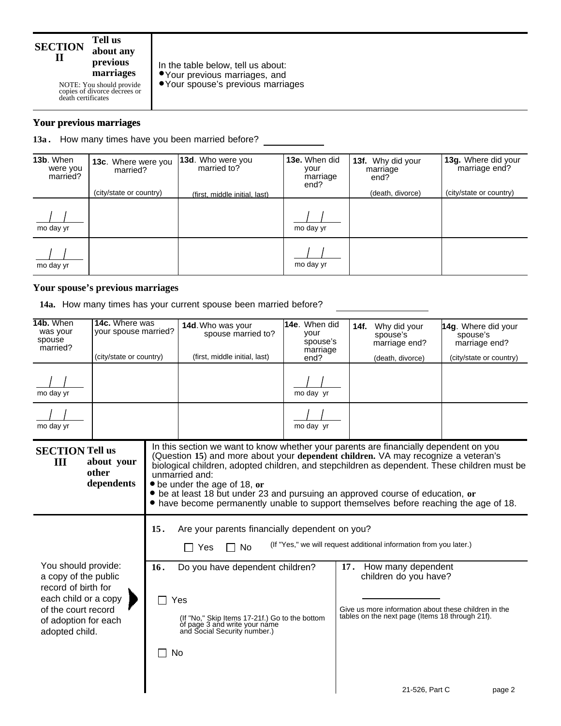#### **Tell us about any**  $\mathbf{H}$  **previous**  $\mathbf{h}$  **previous marriages SECTION**

NOTE: You should provide<br>copies of divorce decrees or<br>death certificates

#### **Your previous marriages**

**13a.** How many times have you been married before?

**.**

| 13b. When<br>were you<br>married? | 13c. Where were you<br>married? | 13d. Who were you<br>married to? | 13e. When did<br>your<br>marriage<br>end? | 13f. Why did your<br>marriage<br>end? | 13g. Where did your<br>marriage end? |
|-----------------------------------|---------------------------------|----------------------------------|-------------------------------------------|---------------------------------------|--------------------------------------|
|                                   | (city/state or country)         | (first, middle initial, last)    |                                           | (death, divorce)                      | (city/state or country)              |
| mo day yr                         |                                 |                                  | mo day yr                                 |                                       |                                      |
| mo day yr                         |                                 |                                  | mo day yr                                 |                                       |                                      |

In the table below, tell us about:

**In the table below, tell u**<br>●Your previous marriag

Your previous marriages, and Your spouse's previous marriages

### **Your spouse's previous marriages**

**14a.** How many times has your current spouse been married before?

| 14b. When<br>was your<br>spouse<br>married?                                                                                                                 | 14c. Where was<br>your spouse married?<br>(city/state or country) |                      | 14d. Who was your<br>spouse married to?<br>(first, middle initial, last)                                                                                                                                                                                                                                                                                                                                                                                                                                 | 14e. When did<br>vour<br>spouse's<br>marriage<br>end? | 14f. | Why did your<br>spouse's<br>marriage end?<br>(death, divorce)                                                                                              | 14g. Where did your<br>spouse's<br>marriage end? | (city/state or country) |
|-------------------------------------------------------------------------------------------------------------------------------------------------------------|-------------------------------------------------------------------|----------------------|----------------------------------------------------------------------------------------------------------------------------------------------------------------------------------------------------------------------------------------------------------------------------------------------------------------------------------------------------------------------------------------------------------------------------------------------------------------------------------------------------------|-------------------------------------------------------|------|------------------------------------------------------------------------------------------------------------------------------------------------------------|--------------------------------------------------|-------------------------|
| mo day yr                                                                                                                                                   |                                                                   |                      |                                                                                                                                                                                                                                                                                                                                                                                                                                                                                                          | mo day yr                                             |      |                                                                                                                                                            |                                                  |                         |
| mo day yr                                                                                                                                                   |                                                                   |                      |                                                                                                                                                                                                                                                                                                                                                                                                                                                                                                          | mo day yr                                             |      |                                                                                                                                                            |                                                  |                         |
| <b>SECTION Tell us</b><br>III<br>about your<br>other<br>dependents                                                                                          |                                                                   |                      | In this section we want to know whether your parents are financially dependent on you<br>(Question 15) and more about your dependent children. VA may recognize a veteran's<br>biological children, adopted children, and stepchildren as dependent. These children must be<br>unmarried and:<br>• be under the age of 18, or<br>• be at least 18 but under 23 and pursuing an approved course of education, or<br>• have become permanently unable to support themselves before reaching the age of 18. |                                                       |      |                                                                                                                                                            |                                                  |                         |
|                                                                                                                                                             |                                                                   | 15.                  | Are your parents financially dependent on you?<br>Yes<br>$\Box$ No                                                                                                                                                                                                                                                                                                                                                                                                                                       |                                                       |      | (If "Yes," we will request additional information from you later.)                                                                                         |                                                  |                         |
| You should provide:<br>a copy of the public<br>record of birth for<br>each child or a copy<br>of the court record<br>of adoption for each<br>adopted child. |                                                                   | 16.<br>$\mathcal{L}$ | Do you have dependent children?<br>Yes<br>(If "No," Skip Items 17-21f.) Go to the bottom<br>of page 3 and write your name<br>and Social Security number.)                                                                                                                                                                                                                                                                                                                                                |                                                       |      | 17. How many dependent<br>children do you have?<br>Give us more information about these children in the<br>tables on the next page (Items 18 through 21f). |                                                  |                         |
|                                                                                                                                                             |                                                                   | No<br>$\blacksquare$ |                                                                                                                                                                                                                                                                                                                                                                                                                                                                                                          |                                                       |      | 21-526, Part C                                                                                                                                             |                                                  | page 2                  |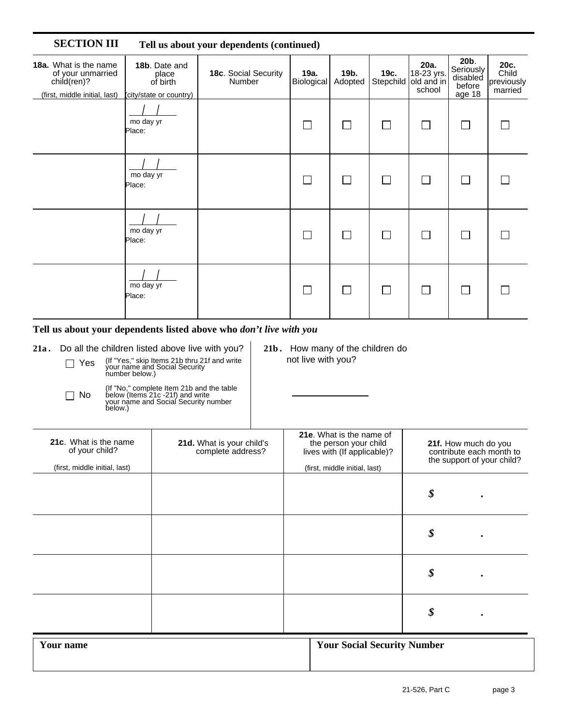| <b>SECTION III</b>                                               |                                                                                                                                                                                                                          | Tell us about your dependents (continued)      |                    |                                                                                       |                   |                                            |                                                                                |                                        |
|------------------------------------------------------------------|--------------------------------------------------------------------------------------------------------------------------------------------------------------------------------------------------------------------------|------------------------------------------------|--------------------|---------------------------------------------------------------------------------------|-------------------|--------------------------------------------|--------------------------------------------------------------------------------|----------------------------------------|
| <b>18a.</b> What is the name<br>of your unmarried<br>child(ren)? | 18b. Date and<br>place<br>of birth                                                                                                                                                                                       | 18c. Social Security<br>Number                 | 19a.<br>Biological | 19b.<br>Adopted                                                                       | 19c.<br>Stepchild | 20a.<br>18-23 yrs.<br>old and in<br>school | 20b.<br>Seriously<br>disabled<br>before                                        | 20c.<br>Child<br>previously<br>married |
| (first, middle initial, last)                                    | (city/state or country)<br>mo day yr<br>Place:                                                                                                                                                                           |                                                | $\Box$             | $\Box$                                                                                | $\Box$            | $\Box$                                     | age 18<br>$\Box$                                                               | $\Box$                                 |
|                                                                  | mo day yr<br>Place:                                                                                                                                                                                                      |                                                | $\Box$             | $\Box$                                                                                | $\Box$            | $\Box$                                     | $\mathbf{I}$                                                                   | $\mathbf{L}$                           |
|                                                                  | mo day yr<br>Place:                                                                                                                                                                                                      |                                                | $\Box$             | $\Box$                                                                                | □                 | $\Box$                                     | $\mathsf{I}$                                                                   | $\mathbf{L}$                           |
|                                                                  | mo day yr<br>Place:                                                                                                                                                                                                      |                                                | $\Box$             | $\Box$                                                                                | □                 | $\Box$                                     | $\Box$                                                                         | $\Box$                                 |
| $\Box$ Yes<br>No<br>$\Box$<br>below.)                            | (If "Yes," skip Items 21b thru 21f and write<br>your name and Social Security<br>number below.)<br>(If "No," complete Item 21b and the table<br>below (Items 21c -21f) and write<br>your name and Social Security number |                                                | not live with you? |                                                                                       |                   |                                            |                                                                                |                                        |
| 21c. What is the name                                            |                                                                                                                                                                                                                          |                                                |                    | 21e. What is the name of                                                              |                   |                                            |                                                                                |                                        |
| of your child?<br>(first, middle initial, last)                  |                                                                                                                                                                                                                          | 21d. What is your child's<br>complete address? |                    | the person your child<br>lives with (If applicable)?<br>(first, middle initial, last) |                   |                                            | 21f. How much do you<br>contribute each month to<br>the support of your child? |                                        |
|                                                                  |                                                                                                                                                                                                                          |                                                |                    |                                                                                       |                   | \$                                         |                                                                                |                                        |
|                                                                  |                                                                                                                                                                                                                          |                                                |                    |                                                                                       |                   | \$                                         |                                                                                |                                        |
|                                                                  |                                                                                                                                                                                                                          |                                                |                    |                                                                                       |                   | \$                                         |                                                                                |                                        |
|                                                                  |                                                                                                                                                                                                                          |                                                |                    |                                                                                       |                   | \$                                         |                                                                                |                                        |
| Your name                                                        |                                                                                                                                                                                                                          |                                                |                    | <b>Your Social Security Number</b>                                                    |                   |                                            |                                                                                |                                        |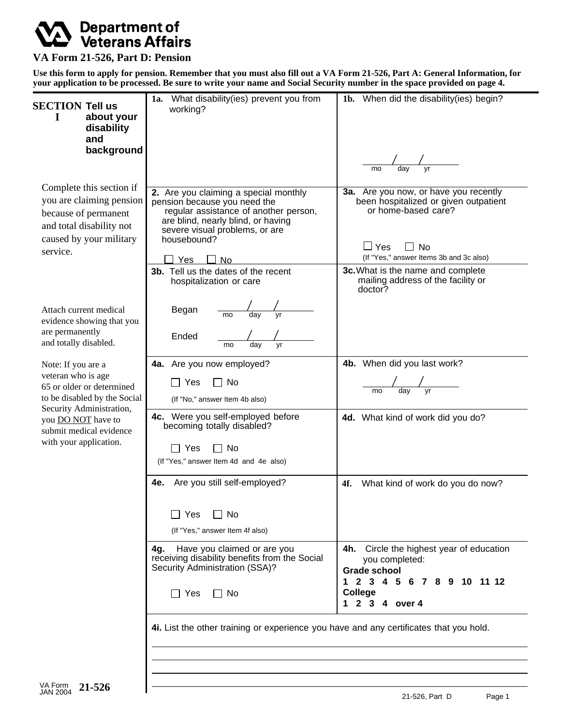# **Department of<br>Veterans Affairs**

## **VA Form 21-526, Part D: Pension**

**Use this form to apply for pension. Remember that you must also fill out a VA Form 21-526, Part A: General Information, for your application to be processed. Be sure to write your name and Social Security number in the space provided on page 4.**

| <b>SECTION Tell us</b><br>about your<br>1<br>disability<br>and<br>background                                                                                 | 1a. What disability(ies) prevent you from<br>working?                                                                                                                                                 | 1b. When did the disability (ies) begin?                                                                        |
|--------------------------------------------------------------------------------------------------------------------------------------------------------------|-------------------------------------------------------------------------------------------------------------------------------------------------------------------------------------------------------|-----------------------------------------------------------------------------------------------------------------|
|                                                                                                                                                              |                                                                                                                                                                                                       | day<br>vr<br>mo                                                                                                 |
| Complete this section if<br>you are claiming pension<br>because of permanent<br>and total disability not<br>caused by your military                          | 2. Are you claiming a special monthly<br>pension because you need the<br>regular assistance of another person,<br>are blind, nearly blind, or having<br>severe visual problems, or are<br>housebound? | 3a. Are you now, or have you recently<br>been hospitalized or given outpatient<br>or home-based care?           |
| service.                                                                                                                                                     |                                                                                                                                                                                                       | $\Box$ Yes<br>$\Box$ No<br>(If "Yes," answer Items 3b and 3c also)                                              |
|                                                                                                                                                              | 」Yes □ No<br>3b. Tell us the dates of the recent<br>hospitalization or care                                                                                                                           | 3c. What is the name and complete<br>mailing address of the facility or<br>doctor?                              |
| Attach current medical<br>evidence showing that you                                                                                                          | Began<br>$\overline{day}$<br>$\overline{mo}$                                                                                                                                                          |                                                                                                                 |
| are permanently<br>and totally disabled.                                                                                                                     | Ended<br>day<br>mo<br>vr                                                                                                                                                                              |                                                                                                                 |
| Note: If you are a                                                                                                                                           | 4a. Are you now employed?                                                                                                                                                                             | 4b. When did you last work?                                                                                     |
| veteran who is age<br>65 or older or determined<br>to be disabled by the Social<br>Security Administration,<br>you DO NOT have to<br>submit medical evidence | $\Box$ No<br>$\Box$ Yes<br>(If "No," answer Item 4b also)                                                                                                                                             |                                                                                                                 |
|                                                                                                                                                              | 4c. Were you self-employed before<br>becoming totally disabled?                                                                                                                                       | 4d. What kind of work did you do?                                                                               |
| with your application.                                                                                                                                       | $\Box$ Yes<br>$\Box$ No<br>(If "Yes," answer Item 4d and 4e also)                                                                                                                                     |                                                                                                                 |
|                                                                                                                                                              | 4e. Are you still self-employed?                                                                                                                                                                      | What kind of work do you do now?<br>4f.                                                                         |
|                                                                                                                                                              | □ No<br>Yes                                                                                                                                                                                           |                                                                                                                 |
|                                                                                                                                                              | (If "Yes," answer Item 4f also)                                                                                                                                                                       |                                                                                                                 |
|                                                                                                                                                              | Have you claimed or are you<br>4g.<br>receiving disability benefits from the Social<br>Security Administration (SSA)?                                                                                 | 4h. Circle the highest year of education<br>you completed:<br><b>Grade school</b><br>1 2 3 4 5 6 7 8 9 10 11 12 |
|                                                                                                                                                              | l No<br>∐ Yes                                                                                                                                                                                         | College                                                                                                         |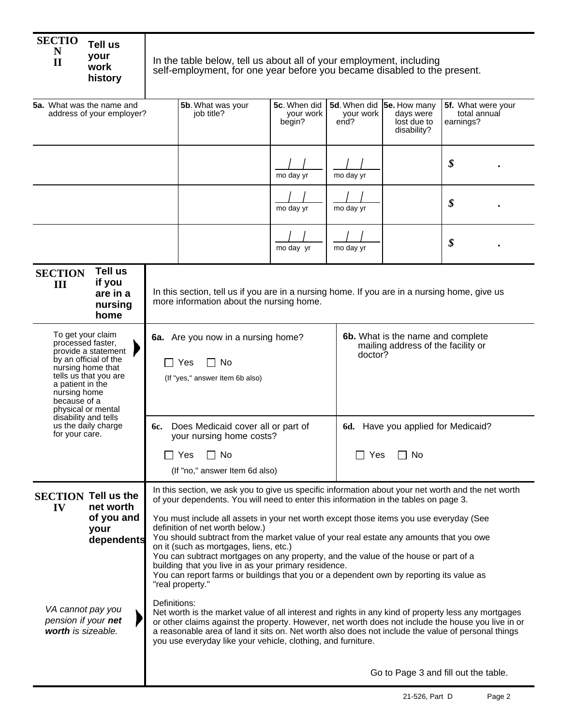| <b>SECTIO</b><br>N<br>$\mathbf{I}$                                                                                                                                                                             | Tell us<br>your<br>work<br>history                     | In the table below, tell us about all of your employment, including<br>self-employment, for one year before you became disabled to the present.                                                                                                                                                                                                                                                                                                                                                                             |                                                                                                                                          |                                     |                                                                                    |                                                           |                                                 |  |  |
|----------------------------------------------------------------------------------------------------------------------------------------------------------------------------------------------------------------|--------------------------------------------------------|-----------------------------------------------------------------------------------------------------------------------------------------------------------------------------------------------------------------------------------------------------------------------------------------------------------------------------------------------------------------------------------------------------------------------------------------------------------------------------------------------------------------------------|------------------------------------------------------------------------------------------------------------------------------------------|-------------------------------------|------------------------------------------------------------------------------------|-----------------------------------------------------------|-------------------------------------------------|--|--|
|                                                                                                                                                                                                                | 5a. What was the name and<br>address of your employer? |                                                                                                                                                                                                                                                                                                                                                                                                                                                                                                                             | 5b. What was your<br>job title?                                                                                                          | 5c. When did<br>your work<br>begin? | 5d. When did<br>your work<br>end?                                                  | $5e.$ How many<br>days were<br>lost due to<br>disability? | 5f. What were your<br>total annual<br>earnings? |  |  |
|                                                                                                                                                                                                                |                                                        |                                                                                                                                                                                                                                                                                                                                                                                                                                                                                                                             |                                                                                                                                          | mo day yr                           | mo day yr                                                                          |                                                           | \$                                              |  |  |
|                                                                                                                                                                                                                |                                                        |                                                                                                                                                                                                                                                                                                                                                                                                                                                                                                                             |                                                                                                                                          | mo day yr                           | mo day yr                                                                          |                                                           | \$                                              |  |  |
|                                                                                                                                                                                                                |                                                        |                                                                                                                                                                                                                                                                                                                                                                                                                                                                                                                             |                                                                                                                                          | mo day yr                           | mo day yr                                                                          |                                                           | \$                                              |  |  |
| <b>SECTION</b><br>III                                                                                                                                                                                          | Tell us<br>if you<br>are in a<br>nursing<br>home       |                                                                                                                                                                                                                                                                                                                                                                                                                                                                                                                             | In this section, tell us if you are in a nursing home. If you are in a nursing home, give us<br>more information about the nursing home. |                                     |                                                                                    |                                                           |                                                 |  |  |
| To get your claim<br>processed faster,<br>provide a statement<br>by an official of the<br>nursing home that<br>tells us that you are<br>a patient in the<br>nursing home<br>because of a<br>physical or mental |                                                        | 6a. Are you now in a nursing home?<br>$\Box$ No<br>∐ Yes<br>(If "yes," answer Item 6b also)                                                                                                                                                                                                                                                                                                                                                                                                                                 |                                                                                                                                          |                                     | 6b. What is the name and complete<br>mailing address of the facility or<br>doctor? |                                                           |                                                 |  |  |
| for your care.                                                                                                                                                                                                 | disability and tells<br>us the daily charge            | 6c.                                                                                                                                                                                                                                                                                                                                                                                                                                                                                                                         | Does Medicaid cover all or part of<br>your nursing home costs?                                                                           |                                     |                                                                                    | 6d. Have you applied for Medicaid?                        |                                                 |  |  |
|                                                                                                                                                                                                                |                                                        |                                                                                                                                                                                                                                                                                                                                                                                                                                                                                                                             | _ No<br>Yes<br>(If "no," answer Item 6d also)                                                                                            |                                     | Yes                                                                                | No                                                        |                                                 |  |  |
|                                                                                                                                                                                                                | <b>SECTION Tell us the</b><br>net worth                | In this section, we ask you to give us specific information about your net worth and the net worth<br>of your dependents. You will need to enter this information in the tables on page 3.                                                                                                                                                                                                                                                                                                                                  |                                                                                                                                          |                                     |                                                                                    |                                                           |                                                 |  |  |
| IV                                                                                                                                                                                                             | of you and<br>your<br>dependents                       | You must include all assets in your net worth except those items you use everyday (See<br>definition of net worth below.)<br>You should subtract from the market value of your real estate any amounts that you owe<br>on it (such as mortgages, liens, etc.)<br>You can subtract mortgages on any property, and the value of the house or part of a<br>building that you live in as your primary residence.<br>You can report farms or buildings that you or a dependent own by reporting its value as<br>"real property." |                                                                                                                                          |                                     |                                                                                    |                                                           |                                                 |  |  |
| worth is sizeable.                                                                                                                                                                                             | VA cannot pay you<br>pension if your net               | Definitions:<br>Net worth is the market value of all interest and rights in any kind of property less any mortgages<br>or other claims against the property. However, net worth does not include the house you live in or<br>a reasonable area of land it sits on. Net worth also does not include the value of personal things<br>you use everyday like your vehicle, clothing, and furniture.                                                                                                                             |                                                                                                                                          |                                     |                                                                                    |                                                           |                                                 |  |  |
|                                                                                                                                                                                                                |                                                        | Go to Page 3 and fill out the table.                                                                                                                                                                                                                                                                                                                                                                                                                                                                                        |                                                                                                                                          |                                     |                                                                                    |                                                           |                                                 |  |  |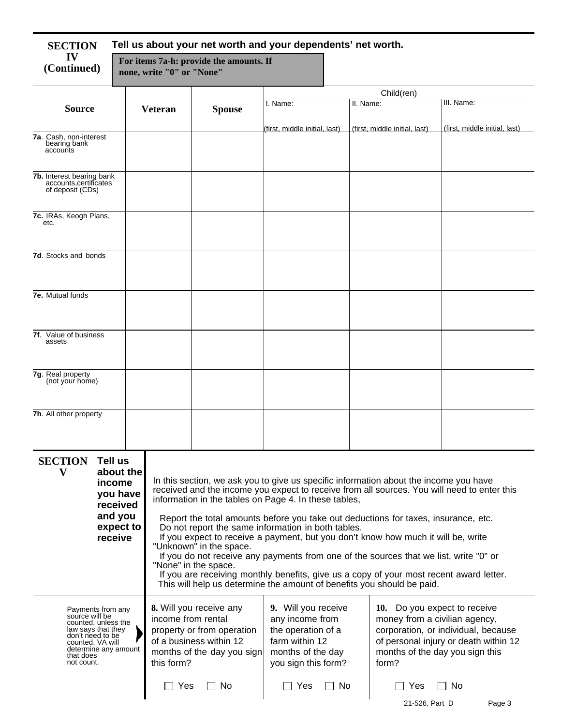| <b>SECTION</b>                                                                                                                                                              |                                                                                           | Tell us about your net worth and your dependents' net worth.<br>For items 7a-h: provide the amounts. If<br>none, write "0" or "None" |                                                                                                                |                                                                                                                            |                                                                                                                                                                                                                                                                                                                                                                                                                                                                                                                                                                                                                               |                                                                                                                 |  |  |  |  |
|-----------------------------------------------------------------------------------------------------------------------------------------------------------------------------|-------------------------------------------------------------------------------------------|--------------------------------------------------------------------------------------------------------------------------------------|----------------------------------------------------------------------------------------------------------------|----------------------------------------------------------------------------------------------------------------------------|-------------------------------------------------------------------------------------------------------------------------------------------------------------------------------------------------------------------------------------------------------------------------------------------------------------------------------------------------------------------------------------------------------------------------------------------------------------------------------------------------------------------------------------------------------------------------------------------------------------------------------|-----------------------------------------------------------------------------------------------------------------|--|--|--|--|
| IV<br>(Continued)                                                                                                                                                           |                                                                                           |                                                                                                                                      |                                                                                                                |                                                                                                                            |                                                                                                                                                                                                                                                                                                                                                                                                                                                                                                                                                                                                                               |                                                                                                                 |  |  |  |  |
|                                                                                                                                                                             |                                                                                           |                                                                                                                                      |                                                                                                                |                                                                                                                            | Child(ren)                                                                                                                                                                                                                                                                                                                                                                                                                                                                                                                                                                                                                    |                                                                                                                 |  |  |  |  |
| <b>Source</b>                                                                                                                                                               |                                                                                           | <b>Veteran</b>                                                                                                                       | <b>Spouse</b>                                                                                                  | I. Name:                                                                                                                   | II. Name:                                                                                                                                                                                                                                                                                                                                                                                                                                                                                                                                                                                                                     | III. Name:                                                                                                      |  |  |  |  |
| 7a. Cash, non-interest<br>bearing bank<br>accounts                                                                                                                          |                                                                                           |                                                                                                                                      |                                                                                                                | (first, middle initial, last)                                                                                              | (first, middle initial, last)                                                                                                                                                                                                                                                                                                                                                                                                                                                                                                                                                                                                 | (first, middle initial, last)                                                                                   |  |  |  |  |
| 7b. Interest bearing bank<br>accounts, certificates<br>of deposit (CDs)                                                                                                     |                                                                                           |                                                                                                                                      |                                                                                                                |                                                                                                                            |                                                                                                                                                                                                                                                                                                                                                                                                                                                                                                                                                                                                                               |                                                                                                                 |  |  |  |  |
| 7c. IRAs, Keogh Plans,<br>etc.                                                                                                                                              |                                                                                           |                                                                                                                                      |                                                                                                                |                                                                                                                            |                                                                                                                                                                                                                                                                                                                                                                                                                                                                                                                                                                                                                               |                                                                                                                 |  |  |  |  |
| 7d. Stocks and bonds                                                                                                                                                        |                                                                                           |                                                                                                                                      |                                                                                                                |                                                                                                                            |                                                                                                                                                                                                                                                                                                                                                                                                                                                                                                                                                                                                                               |                                                                                                                 |  |  |  |  |
| 7e. Mutual funds                                                                                                                                                            |                                                                                           |                                                                                                                                      |                                                                                                                |                                                                                                                            |                                                                                                                                                                                                                                                                                                                                                                                                                                                                                                                                                                                                                               |                                                                                                                 |  |  |  |  |
| 7f. Value of business<br>assets                                                                                                                                             |                                                                                           |                                                                                                                                      |                                                                                                                |                                                                                                                            |                                                                                                                                                                                                                                                                                                                                                                                                                                                                                                                                                                                                                               |                                                                                                                 |  |  |  |  |
| 7g. Real property<br>(not your home)                                                                                                                                        |                                                                                           |                                                                                                                                      |                                                                                                                |                                                                                                                            |                                                                                                                                                                                                                                                                                                                                                                                                                                                                                                                                                                                                                               |                                                                                                                 |  |  |  |  |
| 7h. All other property                                                                                                                                                      |                                                                                           |                                                                                                                                      |                                                                                                                |                                                                                                                            |                                                                                                                                                                                                                                                                                                                                                                                                                                                                                                                                                                                                                               |                                                                                                                 |  |  |  |  |
| <b>SECTION</b><br>V                                                                                                                                                         | Tell us<br>about the<br>income<br>you have<br>received<br>and you<br>expect to<br>receive |                                                                                                                                      | "Unknown" in the space.<br>"None" in the space.                                                                | information in the tables on Page 4. In these tables,<br>Do not report the same information in both tables.                | In this section, we ask you to give us specific information about the income you have<br>received and the income you expect to receive from all sources. You will need to enter this<br>Report the total amounts before you take out deductions for taxes, insurance, etc.<br>If you expect to receive a payment, but you don't know how much it will be, write<br>If you do not receive any payments from one of the sources that we list, write "0" or<br>If you are receiving monthly benefits, give us a copy of your most recent award letter.<br>This will help us determine the amount of benefits you should be paid. |                                                                                                                 |  |  |  |  |
| Payments from any<br>source will be<br>counted, unless the<br>law says that they<br>don't need to be<br>counted. VA will<br>determine any amount<br>that does<br>not count. |                                                                                           | income from rental<br>this form?                                                                                                     | 8. Will you receive any<br>property or from operation<br>of a business within 12<br>months of the day you sign | 9. Will you receive<br>any income from<br>the operation of a<br>farm within 12<br>months of the day<br>you sign this form? | 10. Do you expect to receive<br>money from a civilian agency,<br>form?                                                                                                                                                                                                                                                                                                                                                                                                                                                                                                                                                        | corporation, or individual, because<br>of personal injury or death within 12<br>months of the day you sign this |  |  |  |  |
|                                                                                                                                                                             |                                                                                           | ∐ Yes                                                                                                                                | ⊟ No                                                                                                           | Yes<br>l I No                                                                                                              | Yes<br>21-526, Part D                                                                                                                                                                                                                                                                                                                                                                                                                                                                                                                                                                                                         | $\Box$ No<br>Page 3                                                                                             |  |  |  |  |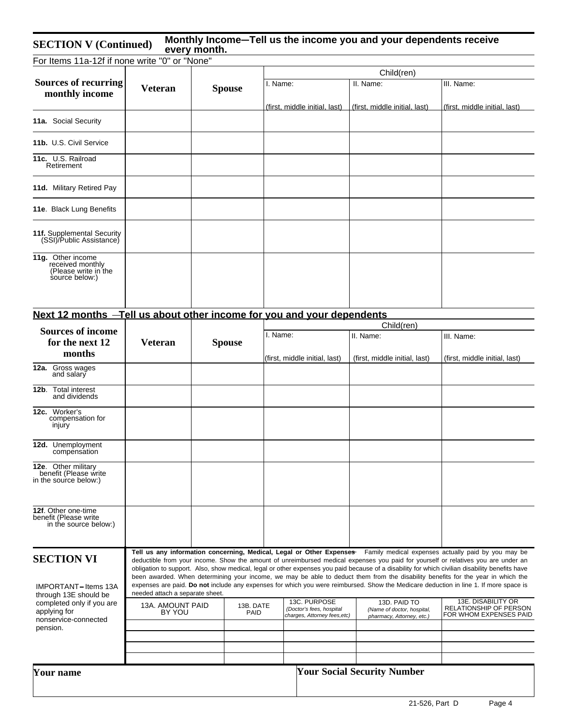#### **Monthly Income Tell us the income you and your dependents receive every month. SECTION V (Continued)**

For Items 11a-12f if none write "0" or "None"

|                                                                                 |                |               | Child(ren)                    |                               |                                       |  |  |
|---------------------------------------------------------------------------------|----------------|---------------|-------------------------------|-------------------------------|---------------------------------------|--|--|
| Sources of recurring<br>monthly income                                          | <b>Veteran</b> | <b>Spouse</b> | I. Name:                      | II. Name:                     | III. Name:                            |  |  |
|                                                                                 |                |               | (first. middle initial. last) | ffirst, middle initial, last) | <u>l(first. middle initial. last)</u> |  |  |
| 11a. Social Security                                                            |                |               |                               |                               |                                       |  |  |
| 11b. U.S. Civil Service                                                         |                |               |                               |                               |                                       |  |  |
| 11c. U.S. Railroad<br>Retirement                                                |                |               |                               |                               |                                       |  |  |
| 11d. Military Retired Pay                                                       |                |               |                               |                               |                                       |  |  |
| 11e. Black Lung Benefits                                                        |                |               |                               |                               |                                       |  |  |
| 11f. Supplemental Security<br>(SSI)/Public Assistance)                          |                |               |                               |                               |                                       |  |  |
| 11g. Other income<br>received monthly<br>(Please write in the<br>source below:) |                |               |                               |                               |                                       |  |  |

# Next 12 months -Tell us about other income for you and your dependents

|                                                                          |                                 |               |                   |                                                                          | Child(ren)                                                              |                                                                                                                                                                                                                                                                                                                                                                                                                                                                                                                                                                                                                                                                                                |  |  |
|--------------------------------------------------------------------------|---------------------------------|---------------|-------------------|--------------------------------------------------------------------------|-------------------------------------------------------------------------|------------------------------------------------------------------------------------------------------------------------------------------------------------------------------------------------------------------------------------------------------------------------------------------------------------------------------------------------------------------------------------------------------------------------------------------------------------------------------------------------------------------------------------------------------------------------------------------------------------------------------------------------------------------------------------------------|--|--|
| <b>Sources of income</b><br>for the next 12                              | <b>Veteran</b>                  | <b>Spouse</b> |                   | I. Name:                                                                 | II. Name:                                                               | III. Name:                                                                                                                                                                                                                                                                                                                                                                                                                                                                                                                                                                                                                                                                                     |  |  |
| months                                                                   |                                 |               |                   | (first, middle initial, last)                                            | (first, middle initial, last)                                           | (first, middle initial, last)                                                                                                                                                                                                                                                                                                                                                                                                                                                                                                                                                                                                                                                                  |  |  |
| 12a. Gross wages<br>and salary                                           |                                 |               |                   |                                                                          |                                                                         |                                                                                                                                                                                                                                                                                                                                                                                                                                                                                                                                                                                                                                                                                                |  |  |
| 12b. Total interest<br>and dividends                                     |                                 |               |                   |                                                                          |                                                                         |                                                                                                                                                                                                                                                                                                                                                                                                                                                                                                                                                                                                                                                                                                |  |  |
| 12c. Worker's<br>compensation for<br>injury                              |                                 |               |                   |                                                                          |                                                                         |                                                                                                                                                                                                                                                                                                                                                                                                                                                                                                                                                                                                                                                                                                |  |  |
| 12d. Unemployment<br>compensation                                        |                                 |               |                   |                                                                          |                                                                         |                                                                                                                                                                                                                                                                                                                                                                                                                                                                                                                                                                                                                                                                                                |  |  |
| 12e. Other military<br>benefit (Please write<br>in the source below.)    |                                 |               |                   |                                                                          |                                                                         |                                                                                                                                                                                                                                                                                                                                                                                                                                                                                                                                                                                                                                                                                                |  |  |
| 12f. Other one-time<br>benefit (Please write<br>in the source below:)    |                                 |               |                   |                                                                          |                                                                         |                                                                                                                                                                                                                                                                                                                                                                                                                                                                                                                                                                                                                                                                                                |  |  |
| <b>SECTION VI</b><br><b>IMPORTANT-Items 13A</b><br>through 13E should be | needed attach a separate sheet. |               |                   |                                                                          |                                                                         | Tell us any information concerning, Medical, Legal or Other Expenses- Family medical expenses actually paid by you may be<br>deductible from your income. Show the amount of unreimbursed medical expenses you paid for yourself or relatives you are under an<br>obligation to support. Also, show medical, legal or other expenses you paid because of a disability for which civilian disability benefits have<br>been awarded. When determining your income, we may be able to deduct them from the disability benefits for the year in which the<br>expenses are paid. Do not include any expenses for which you were reimbursed. Show the Medicare deduction in line 1. If more space is |  |  |
| completed only if you are<br>applying for<br>nonservice-connected        | 13A. AMOUNT PAID<br>BY YOU      |               | 13B. DATE<br>PAID | 13C. PURPOSE<br>(Doctor's fees, hospital<br>charges, Attorney fees, etc) | 13D. PAID TO<br>(Name of doctor, hospital,<br>pharmacy, Attorney, etc.) | 13E. DISABILITY OR<br>RELATIONSHIP OF PERSON<br>FOR WHOM EXPENSES PAID                                                                                                                                                                                                                                                                                                                                                                                                                                                                                                                                                                                                                         |  |  |
| pension.                                                                 |                                 |               |                   |                                                                          |                                                                         |                                                                                                                                                                                                                                                                                                                                                                                                                                                                                                                                                                                                                                                                                                |  |  |
|                                                                          |                                 |               |                   |                                                                          |                                                                         |                                                                                                                                                                                                                                                                                                                                                                                                                                                                                                                                                                                                                                                                                                |  |  |
| <b>Your name</b>                                                         |                                 |               |                   |                                                                          | <b>Your Social Security Number</b>                                      |                                                                                                                                                                                                                                                                                                                                                                                                                                                                                                                                                                                                                                                                                                |  |  |
|                                                                          |                                 |               |                   |                                                                          |                                                                         |                                                                                                                                                                                                                                                                                                                                                                                                                                                                                                                                                                                                                                                                                                |  |  |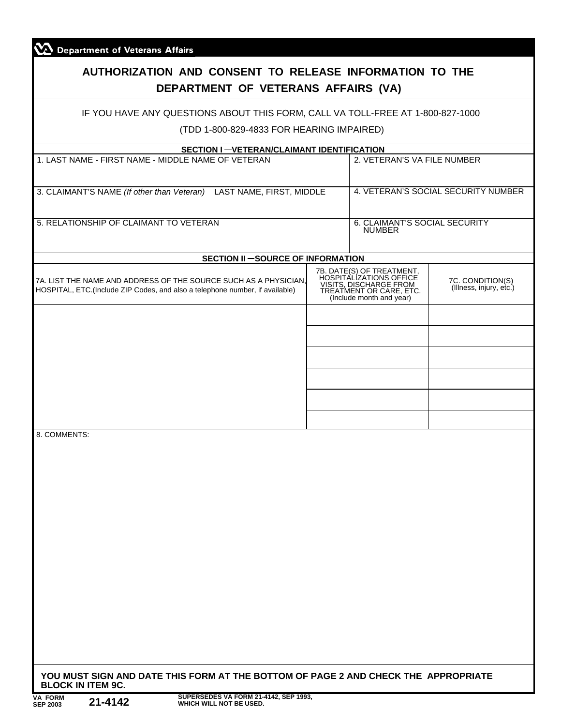| IF YOU HAVE ANY QUESTIONS ABOUT THIS FORM, CALL VA TOLL-FREE AT 1-800-827-1000<br>(TDD 1-800-829-4833 FOR HEARING IMPAIRED)<br>SECTION I-VETERAN/CLAIMANT IDENTIFICATION<br>1. LAST NAME - FIRST NAME - MIDDLE NAME OF VETERAN<br>3. CLAIMANT'S NAME (If other than Veteran) LAST NAME, FIRST, MIDDLE<br>5. RELATIONSHIP OF CLAIMANT TO VETERAN<br><b>SECTION II-SOURCE OF INFORMATION</b><br>7A. LIST THE NAME AND ADDRESS OF THE SOURCE SUCH AS A PHYSICIAN,<br>HOSPITAL, ETC.(Include ZIP Codes, and also a telephone number, if available) | 2. VETERAN'S VA FILE NUMBER<br>6. CLAIMANT'S SOCIAL SECURITY<br><b>NUMBER</b><br>7B. DATE(S) OF TREATMENT,<br>HOSPITALIZATIONS OFFICE<br>VISITS, DISCHARGE FROM<br>TREATMENT OR CARE, ETC.<br>(Include month and year) | 4. VETERAN'S SOCIAL SECURITY NUMBER<br>7C. CONDITION(S)<br>(Illness, injury, etc.) |
|------------------------------------------------------------------------------------------------------------------------------------------------------------------------------------------------------------------------------------------------------------------------------------------------------------------------------------------------------------------------------------------------------------------------------------------------------------------------------------------------------------------------------------------------|------------------------------------------------------------------------------------------------------------------------------------------------------------------------------------------------------------------------|------------------------------------------------------------------------------------|
|                                                                                                                                                                                                                                                                                                                                                                                                                                                                                                                                                |                                                                                                                                                                                                                        |                                                                                    |
|                                                                                                                                                                                                                                                                                                                                                                                                                                                                                                                                                |                                                                                                                                                                                                                        |                                                                                    |
|                                                                                                                                                                                                                                                                                                                                                                                                                                                                                                                                                |                                                                                                                                                                                                                        |                                                                                    |
|                                                                                                                                                                                                                                                                                                                                                                                                                                                                                                                                                |                                                                                                                                                                                                                        |                                                                                    |
|                                                                                                                                                                                                                                                                                                                                                                                                                                                                                                                                                |                                                                                                                                                                                                                        |                                                                                    |
|                                                                                                                                                                                                                                                                                                                                                                                                                                                                                                                                                |                                                                                                                                                                                                                        |                                                                                    |
|                                                                                                                                                                                                                                                                                                                                                                                                                                                                                                                                                |                                                                                                                                                                                                                        |                                                                                    |
|                                                                                                                                                                                                                                                                                                                                                                                                                                                                                                                                                |                                                                                                                                                                                                                        |                                                                                    |
|                                                                                                                                                                                                                                                                                                                                                                                                                                                                                                                                                |                                                                                                                                                                                                                        |                                                                                    |
|                                                                                                                                                                                                                                                                                                                                                                                                                                                                                                                                                |                                                                                                                                                                                                                        |                                                                                    |
|                                                                                                                                                                                                                                                                                                                                                                                                                                                                                                                                                |                                                                                                                                                                                                                        |                                                                                    |
|                                                                                                                                                                                                                                                                                                                                                                                                                                                                                                                                                |                                                                                                                                                                                                                        |                                                                                    |
|                                                                                                                                                                                                                                                                                                                                                                                                                                                                                                                                                |                                                                                                                                                                                                                        |                                                                                    |
|                                                                                                                                                                                                                                                                                                                                                                                                                                                                                                                                                |                                                                                                                                                                                                                        |                                                                                    |
|                                                                                                                                                                                                                                                                                                                                                                                                                                                                                                                                                |                                                                                                                                                                                                                        |                                                                                    |
|                                                                                                                                                                                                                                                                                                                                                                                                                                                                                                                                                |                                                                                                                                                                                                                        |                                                                                    |
| 8. COMMENTS:                                                                                                                                                                                                                                                                                                                                                                                                                                                                                                                                   |                                                                                                                                                                                                                        |                                                                                    |
|                                                                                                                                                                                                                                                                                                                                                                                                                                                                                                                                                |                                                                                                                                                                                                                        |                                                                                    |
|                                                                                                                                                                                                                                                                                                                                                                                                                                                                                                                                                |                                                                                                                                                                                                                        |                                                                                    |
|                                                                                                                                                                                                                                                                                                                                                                                                                                                                                                                                                |                                                                                                                                                                                                                        |                                                                                    |
|                                                                                                                                                                                                                                                                                                                                                                                                                                                                                                                                                |                                                                                                                                                                                                                        |                                                                                    |
|                                                                                                                                                                                                                                                                                                                                                                                                                                                                                                                                                |                                                                                                                                                                                                                        |                                                                                    |
|                                                                                                                                                                                                                                                                                                                                                                                                                                                                                                                                                |                                                                                                                                                                                                                        |                                                                                    |
|                                                                                                                                                                                                                                                                                                                                                                                                                                                                                                                                                |                                                                                                                                                                                                                        |                                                                                    |
|                                                                                                                                                                                                                                                                                                                                                                                                                                                                                                                                                |                                                                                                                                                                                                                        |                                                                                    |
|                                                                                                                                                                                                                                                                                                                                                                                                                                                                                                                                                |                                                                                                                                                                                                                        |                                                                                    |
|                                                                                                                                                                                                                                                                                                                                                                                                                                                                                                                                                |                                                                                                                                                                                                                        |                                                                                    |
|                                                                                                                                                                                                                                                                                                                                                                                                                                                                                                                                                |                                                                                                                                                                                                                        |                                                                                    |
|                                                                                                                                                                                                                                                                                                                                                                                                                                                                                                                                                |                                                                                                                                                                                                                        |                                                                                    |
|                                                                                                                                                                                                                                                                                                                                                                                                                                                                                                                                                |                                                                                                                                                                                                                        |                                                                                    |